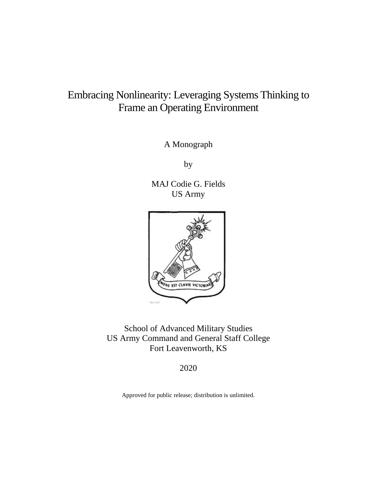# Embracing Nonlinearity: Leveraging Systems Thinking to Frame an Operating Environment

A Monograph

by

MAJ Codie G. Fields US Army



School of Advanced Military Studies US Army Command and General Staff College Fort Leavenworth, KS

2020

Approved for public release; distribution is unlimited.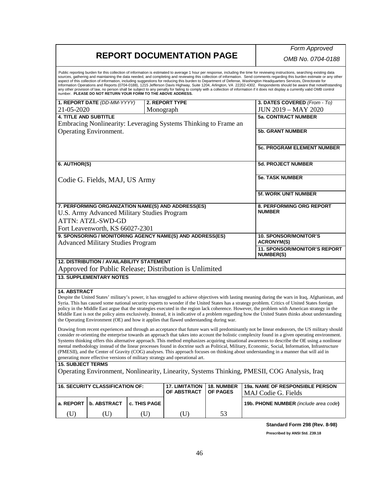## **REPORT DOCUMENTATION PAGE**

*Form Approved*

*OMB No. 0704-0188*

Public reporting burden for this collection of information is estimated to average 1 hour per response, including the time for reviewing instructions, searching existing data<br>sources, gathering and maintaining the data nee aspect of this collection of information, including suggestions for reducing this burden to Department of Defense, Washington Headquarters Services, Directorate for Information Operations and Reports (0704-0188), 1215 Jefferson Davis Highway, Suite 1204, Arlington, VA 22202-4302. Respondents should be aware that notwithstanding<br>any other provision of law, no person shall be subject number. **PLEASE DO NOT RETURN YOUR FORM TO THE ABOVE ADDRESS. 1. REPORT DATE** *(DD-MM-YYYY)* 21-05-2020 **2. REPORT TYPE** Monograph **3. DATES COVERED** *(From - To)* JUN 2019 – MAY 2020 **4. TITLE AND SUBTITLE** Embracing Nonlinearity: Leveraging Systems Thinking to Frame an Operating Environment. **5a. CONTRACT NUMBER 5b. GRANT NUMBER 5c. PROGRAM ELEMENT NUMBER 6. AUTHOR(S)** Codie G. Fields, MAJ, US Army **5d. PROJECT NUMBER 5e. TASK NUMBER 5f. WORK UNIT NUMBER 7. PERFORMING ORGANIZATION NAME(S) AND ADDRESS(ES)** U.S. Army Advanced Military Studies Program ATTN: ATZL-SWD-GD Fort Leavenworth, KS 66027-2301 **8. PERFORMING ORG REPORT NUMBER 9. SPONSORING / MONITORING AGENCY NAME(S) AND ADDRESS(ES)** Advanced Military Studies Program **10. SPONSOR/MONITOR'S ACRONYM(S) 11. SPONSOR/MONITOR'S REPORT NUMBER(S) 12. DISTRIBUTION / AVAILABILITY STATEMENT** Approved for Public Release; Distribution is Unlimited **13. SUPPLEMENTARY NOTES 14. ABSTRACT** Despite the United States' military's power, it has struggled to achieve objectives with lasting meaning during the wars in Iraq, Afghanistan, and Syria. This has caused some national security experts to wonder if the United States has a strategy problem. Critics of United States foreign policy in the Middle East argue that the strategies executed in the region lack coherence. However, the problem with American strategy in the Middle East is not the policy aims exclusively. Instead, it is indicative of a problem regarding how the United States thinks about understanding the Operating Environment (OE) and how it applies that flawed understanding during war. Drawing from recent experiences and through an acceptance that future wars will predominantly not be linear endeavors, the US military should consider re-orienting the enterprise towards an approach that takes into account the holistic complexity found in a given operating environment. Systems thinking offers this alternative approach. This method emphasizes acquiring situational awareness to describe the OE using a nonlinear mental methodology instead of the linear processes found in doctrine such as Political, Military, Economic, Social, Information, Infrastructure (PMESII), and the Center of Gravity (COG) analyses. This approach focuses on thinking about understanding in a manner that will aid in generating more effective versions of military strategy and operational art. **15. SUBJECT TERMS** Operating Environment, Nonlinearity, Linearity, Systems Thinking, PMESII, COG Analysis, Iraq **16. SECURITY CLASSIFICATION OF: 17. LIMITATION OF ABSTRACT 18. NUMBER OF PAGES 19a. NAME OF RESPONSIBLE PERSON** MAJ Codie G. Fields **a. REPORT b. ABSTRACT c. THIS PAGE 19b. PHONE NUMBER** *(include area code***)**  (U) (U) (U) (U) 53 **Standard Form 298 (Rev. 8-98) Prescribed by ANSI Std. Z39.18**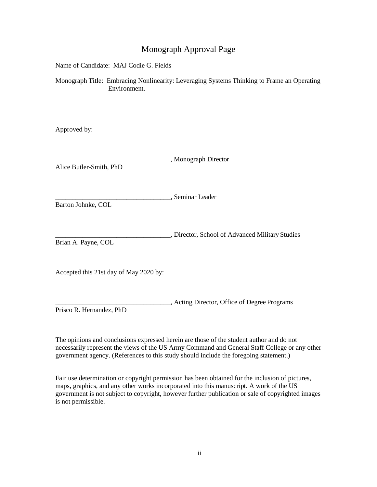## Monograph Approval Page

Name of Candidate: MAJ Codie G. Fields

Monograph Title: Embracing Nonlinearity: Leveraging Systems Thinking to Frame an Operating Environment.

Approved by:

| Alice Butler-Smith, PhD                | , Monograph Director                            |
|----------------------------------------|-------------------------------------------------|
|                                        |                                                 |
| Barton Johnke, COL                     | , Seminar Leader                                |
|                                        |                                                 |
| Brian A. Payne, COL                    | , Director, School of Advanced Military Studies |
|                                        |                                                 |
| Accepted this 21st day of May 2020 by: |                                                 |

\_\_\_\_\_\_\_\_\_\_\_\_\_\_\_\_\_\_\_\_\_\_\_\_\_\_\_\_\_\_\_\_\_\_, Acting Director, Office of Degree Programs Prisco R. Hernandez, PhD

The opinions and conclusions expressed herein are those of the student author and do not necessarily represent the views of the US Army Command and General Staff College or any other government agency. (References to this study should include the foregoing statement.)

Fair use determination or copyright permission has been obtained for the inclusion of pictures, maps, graphics, and any other works incorporated into this manuscript. A work of the US government is not subject to copyright, however further publication or sale of copyrighted images is not permissible.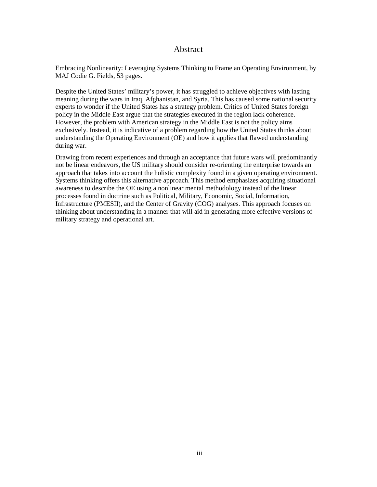### Abstract

Embracing Nonlinearity: Leveraging Systems Thinking to Frame an Operating Environment, by MAJ Codie G. Fields, 53 pages.

Despite the United States' military's power, it has struggled to achieve objectives with lasting meaning during the wars in Iraq, Afghanistan, and Syria. This has caused some national security experts to wonder if the United States has a strategy problem. Critics of United States foreign policy in the Middle East argue that the strategies executed in the region lack coherence. However, the problem with American strategy in the Middle East is not the policy aims exclusively. Instead, it is indicative of a problem regarding how the United States thinks about understanding the Operating Environment (OE) and how it applies that flawed understanding during war.

Drawing from recent experiences and through an acceptance that future wars will predominantly not be linear endeavors, the US military should consider re-orienting the enterprise towards an approach that takes into account the holistic complexity found in a given operating environment. Systems thinking offers this alternative approach. This method emphasizes acquiring situational awareness to describe the OE using a nonlinear mental methodology instead of the linear processes found in doctrine such as Political, Military, Economic, Social, Information, Infrastructure (PMESII), and the Center of Gravity (COG) analyses. This approach focuses on thinking about understanding in a manner that will aid in generating more effective versions of military strategy and operational art.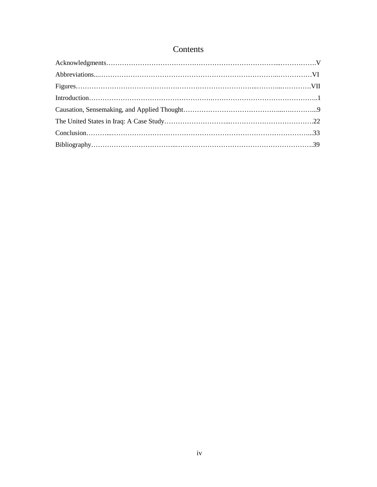## Contents

| $Conclusion. \dots 33$ |  |
|------------------------|--|
|                        |  |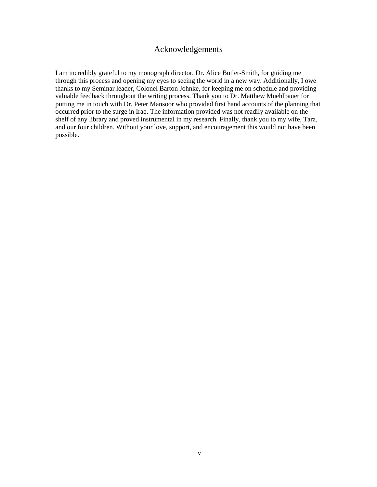## Acknowledgements

I am incredibly grateful to my monograph director, Dr. Alice Butler-Smith, for guiding me through this process and opening my eyes to seeing the world in a new way. Additionally, I owe thanks to my Seminar leader, Colonel Barton Johnke, for keeping me on schedule and providing valuable feedback throughout the writing process. Thank you to Dr. Matthew Muehlbauer for putting me in touch with Dr. Peter Mansoor who provided first hand accounts of the planning that occurred prior to the surge in Iraq. The information provided was not readily available on the shelf of any library and proved instrumental in my research. Finally, thank you to my wife, Tara, and our four children. Without your love, support, and encouragement this would not have been possible.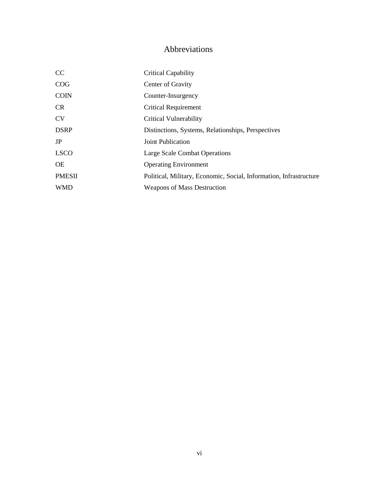## Abbreviations

| CC            | <b>Critical Capability</b>                                         |
|---------------|--------------------------------------------------------------------|
| COG           | Center of Gravity                                                  |
| <b>COIN</b>   | Counter-Insurgency                                                 |
| CR            | <b>Critical Requirement</b>                                        |
| <b>CV</b>     | Critical Vulnerability                                             |
| <b>DSRP</b>   | Distinctions, Systems, Relationships, Perspectives                 |
| JP            | Joint Publication                                                  |
| <b>LSCO</b>   | Large Scale Combat Operations                                      |
| <b>OE</b>     | <b>Operating Environment</b>                                       |
| <b>PMESII</b> | Political, Military, Economic, Social, Information, Infrastructure |
| <b>WMD</b>    | <b>Weapons of Mass Destruction</b>                                 |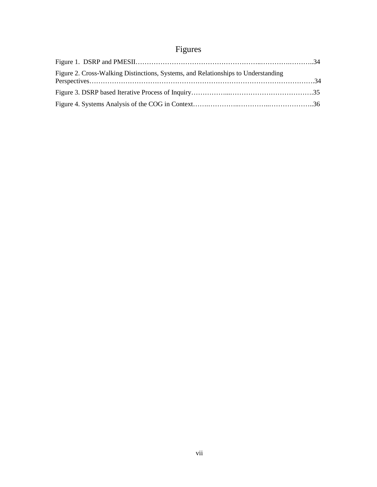# Figures

| Figure 2. Cross-Walking Distinctions, Systems, and Relationships to Understanding |  |
|-----------------------------------------------------------------------------------|--|
|                                                                                   |  |
|                                                                                   |  |
|                                                                                   |  |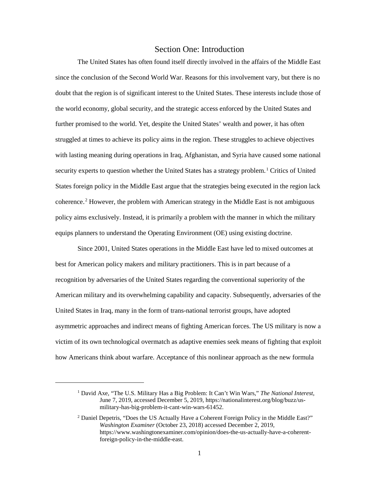#### Section One: Introduction

The United States has often found itself directly involved in the affairs of the Middle East since the conclusion of the Second World War. Reasons for this involvement vary, but there is no doubt that the region is of significant interest to the United States. These interests include those of the world economy, global security, and the strategic access enforced by the United States and further promised to the world. Yet, despite the United States' wealth and power, it has often struggled at times to achieve its policy aims in the region. These struggles to achieve objectives with lasting meaning during operations in Iraq, Afghanistan, and Syria have caused some national security experts to question whether the United States has a strategy problem.<sup>1</sup> Critics of United States foreign policy in the Middle East argue that the strategies being executed in the region lack coherence.<sup>2</sup> However, the problem with American strategy in the Middle East is not ambiguous policy aims exclusively. Instead, it is primarily a problem with the manner in which the military equips planners to understand the Operating Environment (OE) using existing doctrine.

Since 2001, United States operations in the Middle East have led to mixed outcomes at best for American policy makers and military practitioners. This is in part because of a recognition by adversaries of the United States regarding the conventional superiority of the American military and its overwhelming capability and capacity. Subsequently, adversaries of the United States in Iraq, many in the form of trans-national terrorist groups, have adopted asymmetric approaches and indirect means of fighting American forces. The US military is now a victim of its own technological overmatch as adaptive enemies seek means of fighting that exploit how Americans think about warfare. Acceptance of this nonlinear approach as the new formula

<sup>1</sup> David Axe, "The U.S. Military Has a Big Problem: It Can't Win Wars," *The National Interest*, June 7, 2019, accessed December 5, 2019, https://nationalinterest.org/blog/buzz/usmilitary-has-big-problem-it-cant-win-wars-61452.

<sup>&</sup>lt;sup>2</sup> Daniel Depetris, "Does the US Actually Have a Coherent Foreign Policy in the Middle East?" *Washington Examiner* (October 23, 2018) accessed December 2, 2019, https://www.washingtonexaminer.com/opinion/does-the-us-actually-have-a-coherentforeign-policy-in-the-middle-east.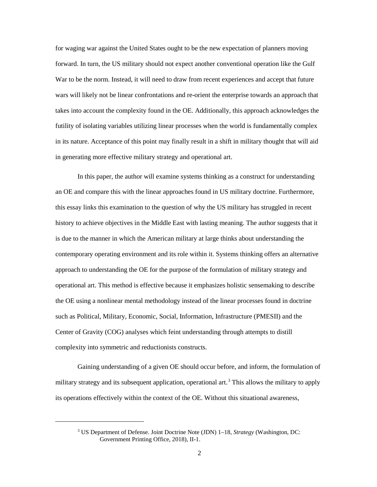for waging war against the United States ought to be the new expectation of planners moving forward. In turn, the US military should not expect another conventional operation like the Gulf War to be the norm. Instead, it will need to draw from recent experiences and accept that future wars will likely not be linear confrontations and re-orient the enterprise towards an approach that takes into account the complexity found in the OE. Additionally, this approach acknowledges the futility of isolating variables utilizing linear processes when the world is fundamentally complex in its nature. Acceptance of this point may finally result in a shift in military thought that will aid in generating more effective military strategy and operational art.

In this paper, the author will examine systems thinking as a construct for understanding an OE and compare this with the linear approaches found in US military doctrine. Furthermore, this essay links this examination to the question of why the US military has struggled in recent history to achieve objectives in the Middle East with lasting meaning. The author suggests that it is due to the manner in which the American military at large thinks about understanding the contemporary operating environment and its role within it. Systems thinking offers an alternative approach to understanding the OE for the purpose of the formulation of military strategy and operational art. This method is effective because it emphasizes holistic sensemaking to describe the OE using a nonlinear mental methodology instead of the linear processes found in doctrine such as Political, Military, Economic, Social, Information, Infrastructure (PMESII) and the Center of Gravity (COG) analyses which feint understanding through attempts to distill complexity into symmetric and reductionists constructs.

Gaining understanding of a given OE should occur before, and inform, the formulation of military strategy and its subsequent application, operational art.<sup>3</sup> This allows the military to apply its operations effectively within the context of the OE. Without this situational awareness,

<sup>3</sup> US Department of Defense. Joint Doctrine Note (JDN) 1–18, *Strategy* (Washington, DC: Government Printing Office, 2018), II-1.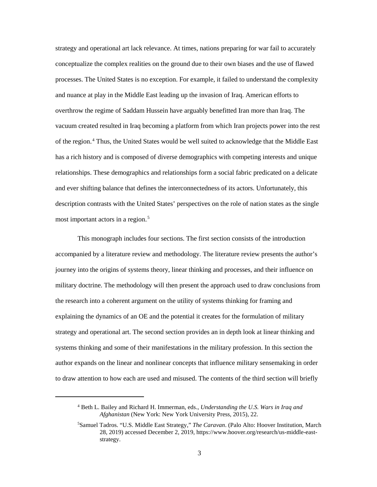strategy and operational art lack relevance. At times, nations preparing for war fail to accurately conceptualize the complex realities on the ground due to their own biases and the use of flawed processes. The United States is no exception. For example, it failed to understand the complexity and nuance at play in the Middle East leading up the invasion of Iraq. American efforts to overthrow the regime of Saddam Hussein have arguably benefitted Iran more than Iraq. The vacuum created resulted in Iraq becoming a platform from which Iran projects power into the rest of the region.<sup>4</sup> Thus, the United States would be well suited to acknowledge that the Middle East has a rich history and is composed of diverse demographics with competing interests and unique relationships. These demographics and relationships form a social fabric predicated on a delicate and ever shifting balance that defines the interconnectedness of its actors. Unfortunately, this description contrasts with the United States' perspectives on the role of nation states as the single most important actors in a region.<sup>5</sup>

This monograph includes four sections. The first section consists of the introduction accompanied by a literature review and methodology. The literature review presents the author's journey into the origins of systems theory, linear thinking and processes, and their influence on military doctrine. The methodology will then present the approach used to draw conclusions from the research into a coherent argument on the utility of systems thinking for framing and explaining the dynamics of an OE and the potential it creates for the formulation of military strategy and operational art. The second section provides an in depth look at linear thinking and systems thinking and some of their manifestations in the military profession. In this section the author expands on the linear and nonlinear concepts that influence military sensemaking in order to draw attention to how each are used and misused. The contents of the third section will briefly

<sup>4</sup> Beth L. Bailey and Richard H. Immerman, eds., *Understanding the U.S. Wars in Iraq and Afghanistan* (New York: New York University Press, 2015), 22.

<sup>5</sup> Samuel Tadros. "U.S. Middle East Strategy," *The Caravan*. (Palo Alto: Hoover Institution, March 28, 2019) accessed December 2, 2019, https://www.hoover.org/research/us-middle-eaststrategy.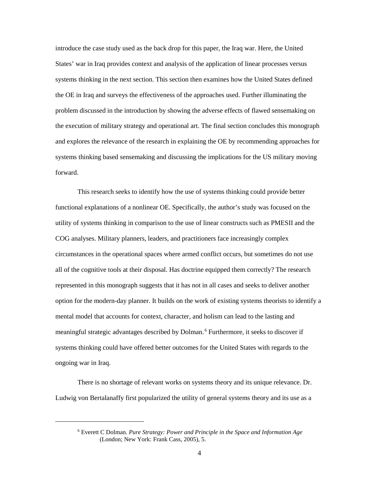introduce the case study used as the back drop for this paper, the Iraq war. Here, the United States' war in Iraq provides context and analysis of the application of linear processes versus systems thinking in the next section. This section then examines how the United States defined the OE in Iraq and surveys the effectiveness of the approaches used. Further illuminating the problem discussed in the introduction by showing the adverse effects of flawed sensemaking on the execution of military strategy and operational art. The final section concludes this monograph and explores the relevance of the research in explaining the OE by recommending approaches for systems thinking based sensemaking and discussing the implications for the US military moving forward.

This research seeks to identify how the use of systems thinking could provide better functional explanations of a nonlinear OE. Specifically, the author's study was focused on the utility of systems thinking in comparison to the use of linear constructs such as PMESII and the COG analyses. Military planners, leaders, and practitioners face increasingly complex circumstances in the operational spaces where armed conflict occurs, but sometimes do not use all of the cognitive tools at their disposal. Has doctrine equipped them correctly? The research represented in this monograph suggests that it has not in all cases and seeks to deliver another option for the modern-day planner. It builds on the work of existing systems theorists to identify a mental model that accounts for context, character, and holism can lead to the lasting and meaningful strategic advantages described by Dolman.<sup>6</sup> Furthermore, it seeks to discover if systems thinking could have offered better outcomes for the United States with regards to the ongoing war in Iraq.

There is no shortage of relevant works on systems theory and its unique relevance. Dr. Ludwig von Bertalanaffy first popularized the utility of general systems theory and its use as a

<sup>6</sup> Everett C Dolman. *Pure Strategy: Power and Principle in the Space and Information Age* (London; New York: Frank Cass, 2005), 5.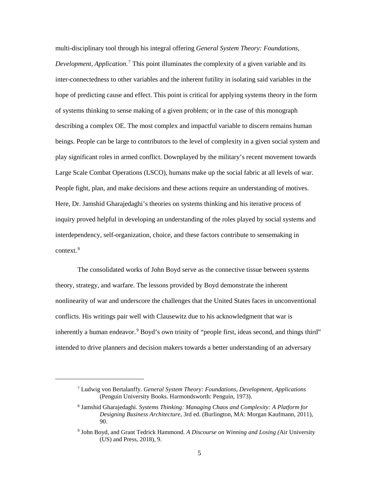multi-disciplinary tool through his integral offering *General System Theory: Foundations,*  Development, Application.<sup>7</sup> This point illuminates the complexity of a given variable and its inter-connectedness to other variables and the inherent futility in isolating said variables in the hope of predicting cause and effect. This point is critical for applying systems theory in the form of systems thinking to sense making of a given problem; or in the case of this monograph describing a complex OE. The most complex and impactful variable to discern remains human beings. People can be large to contributors to the level of complexity in a given social system and play significant roles in armed conflict. Downplayed by the military's recent movement towards Large Scale Combat Operations (LSCO), humans make up the social fabric at all levels of war. People fight, plan, and make decisions and these actions require an understanding of motives. Here, Dr. Jamshid Gharajedaghi's theories on systems thinking and his iterative process of inquiry proved helpful in developing an understanding of the roles played by social systems and interdependency, self-organization, choice, and these factors contribute to sensemaking in context.<sup>8</sup>

The consolidated works of John Boyd serve as the connective tissue between systems theory, strategy, and warfare. The lessons provided by Boyd demonstrate the inherent nonlinearity of war and underscore the challenges that the United States faces in unconventional conflicts. His writings pair well with Clausewitz due to his acknowledgment that war is inherently a human endeavor.<sup>9</sup> Boyd's own trinity of "people first, ideas second, and things third" intended to drive planners and decision makers towards a better understanding of an adversary

<sup>7</sup> Ludwig von Bertalanffy. *General System Theory: Foundations, Development, Applications* (Penguin University Books. Harmondsworth: Penguin, 1973).

<sup>8</sup> Jamshid Gharajedaghi. *Systems Thinking: Managing Chaos and Complexity: A Platform for Designing Business Architecture*, 3rd ed. (Burlington, MA: Morgan Kaufmann, 2011), 90.

<sup>9</sup> John Boyd, and Grant Tedrick Hammond. *A Discourse on Winning and Losing (*Air University (US) and Press, 2018), 9.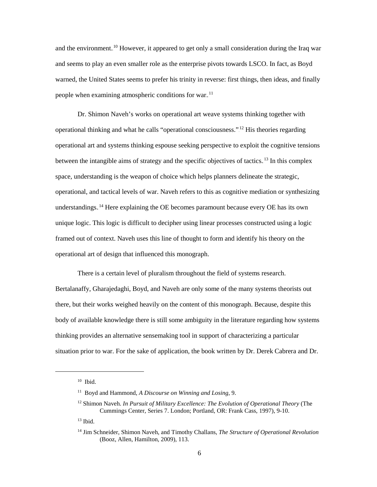and the environment.<sup>10</sup> However, it appeared to get only a small consideration during the Iraq war and seems to play an even smaller role as the enterprise pivots towards LSCO. In fact, as Boyd warned, the United States seems to prefer his trinity in reverse: first things, then ideas, and finally people when examining atmospheric conditions for war.<sup>11</sup>

Dr. Shimon Naveh's works on operational art weave systems thinking together with operational thinking and what he calls "operational consciousness."<sup>12</sup> His theories regarding operational art and systems thinking espouse seeking perspective to exploit the cognitive tensions between the intangible aims of strategy and the specific objectives of tactics.<sup>13</sup> In this complex space, understanding is the weapon of choice which helps planners delineate the strategic, operational, and tactical levels of war. Naveh refers to this as cognitive mediation or synthesizing understandings.<sup>14</sup> Here explaining the OE becomes paramount because every OE has its own unique logic. This logic is difficult to decipher using linear processes constructed using a logic framed out of context. Naveh uses this line of thought to form and identify his theory on the operational art of design that influenced this monograph.

There is a certain level of pluralism throughout the field of systems research. Bertalanaffy, Gharajedaghi, Boyd, and Naveh are only some of the many systems theorists out there, but their works weighed heavily on the content of this monograph. Because, despite this body of available knowledge there is still some ambiguity in the literature regarding how systems thinking provides an alternative sensemaking tool in support of characterizing a particular situation prior to war. For the sake of application, the book written by Dr. Derek Cabrera and Dr.

 $10$  Ibid.

<sup>11</sup> Boyd and Hammond, *A Discourse on Winning and Losing*, 9.

<sup>12</sup> Shimon Naveh. *In Pursuit of Military Excellence: The Evolution of Operational Theory* (The Cummings Center, Series 7. London; Portland, OR: Frank Cass, 1997), 9-10.

 $13$  Ibid.

<sup>14</sup> Jim Schneider, Shimon Naveh, and Timothy Challans, *The Structure of Operational Revolution* (Booz, Allen, Hamilton, 2009), 113.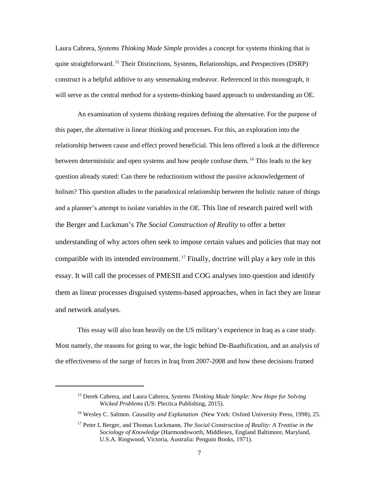Laura Cabrera, *Systems Thinking Made Simple* provides a concept for systems thinking that is quite straightforward.<sup>15</sup> Their Distinctions, Systems, Relationships, and Perspectives (DSRP) construct is a helpful additive to any sensemaking endeavor. Referenced in this monograph, it will serve as the central method for a systems-thinking based approach to understanding an OE.

An examination of systems thinking requires defining the alternative. For the purpose of this paper, the alternative is linear thinking and processes. For this, an exploration into the relationship between cause and effect proved beneficial. This lens offered a look at the difference between deterministic and open systems and how people confuse them.<sup>16</sup> This leads to the key question already stated: Can there be reductionism without the passive acknowledgement of holism? This question alludes to the paradoxical relationship between the holistic nature of things and a planner's attempt to isolate variables in the OE. This line of research paired well with the Berger and Luckman's *The Social Construction of Reality* to offer a better understanding of why actors often seek to impose certain values and policies that may not compatible with its intended environment.<sup>17</sup> Finally, doctrine will play a key role in this essay. It will call the processes of PMESII and COG analyses into question and identify them as linear processes disguised systems-based approaches, when in fact they are linear and network analyses.

This essay will also lean heavily on the US military's experience in Iraq as a case study. Most namely, the reasons for going to war, the logic behind De-Baathification, and an analysis of the effectiveness of the surge of forces in Iraq from 2007-2008 and how these decisions framed

<sup>15</sup> Derek Cabrera, and Laura Cabrera, *Systems Thinking Made Simple: New Hope for Solving Wicked Problems* (US: Plectica Publishing, 2015).

<sup>16</sup> Wesley C. Salmon. *Causality and Explanation* (New York: Oxford University Press, 1998), 25.

<sup>17</sup> Peter L Berger, and Thomas Luckmann, *The Social Construction of Reality: A Treatise in the Sociology of Knowledge* (Harmondsworth, Middlesex, England Baltimore, Maryland, U.S.A. Ringwood, Victoria, Australia: Penguin Books, 1971).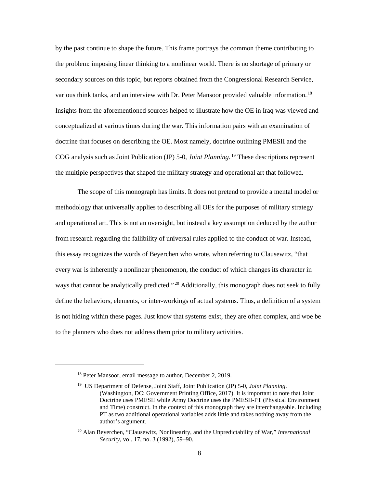by the past continue to shape the future. This frame portrays the common theme contributing to the problem: imposing linear thinking to a nonlinear world. There is no shortage of primary or secondary sources on this topic, but reports obtained from the Congressional Research Service, various think tanks, and an interview with Dr. Peter Mansoor provided valuable information.<sup>18</sup> Insights from the aforementioned sources helped to illustrate how the OE in Iraq was viewed and conceptualized at various times during the war. This information pairs with an examination of doctrine that focuses on describing the OE. Most namely, doctrine outlining PMESII and the COG analysis such as Joint Publication (JP) 5-0, *Joint Planning*.<sup>19</sup> These descriptions represent the multiple perspectives that shaped the military strategy and operational art that followed.

The scope of this monograph has limits. It does not pretend to provide a mental model or methodology that universally applies to describing all OEs for the purposes of military strategy and operational art. This is not an oversight, but instead a key assumption deduced by the author from research regarding the fallibility of universal rules applied to the conduct of war. Instead, this essay recognizes the words of Beyerchen who wrote, when referring to Clausewitz, "that every war is inherently a nonlinear phenomenon, the conduct of which changes its character in ways that cannot be analytically predicted."<sup>20</sup> Additionally, this monograph does not seek to fully define the behaviors, elements, or inter-workings of actual systems. Thus, a definition of a system is not hiding within these pages. Just know that systems exist, they are often complex, and woe be to the planners who does not address them prior to military activities.

<sup>&</sup>lt;sup>18</sup> Peter Mansoor, email message to author, December 2, 2019.

<sup>19</sup> US Department of Defense, Joint Staff, Joint Publication (JP) 5-0, *Joint Planning*. (Washington, DC: Government Printing Office, 2017). It is important to note that Joint Doctrine uses PMESII while Army Doctrine uses the PMESII-PT (Physical Environment and Time) construct. In the context of this monograph they are interchangeable. Including PT as two additional operational variables adds little and takes nothing away from the author's argument.

<sup>20</sup> Alan Beyerchen, "Clausewitz, Nonlinearity, and the Unpredictability of War," *International Security*, vol. 17, no. 3 (1992), 59–90.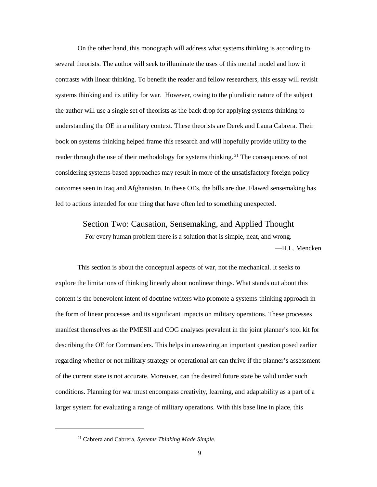On the other hand, this monograph will address what systems thinking is according to several theorists. The author will seek to illuminate the uses of this mental model and how it contrasts with linear thinking. To benefit the reader and fellow researchers, this essay will revisit systems thinking and its utility for war. However, owing to the pluralistic nature of the subject the author will use a single set of theorists as the back drop for applying systems thinking to understanding the OE in a military context. These theorists are Derek and Laura Cabrera. Their book on systems thinking helped frame this research and will hopefully provide utility to the reader through the use of their methodology for systems thinking.<sup>21</sup> The consequences of not considering systems-based approaches may result in more of the unsatisfactory foreign policy outcomes seen in Iraq and Afghanistan. In these OEs, the bills are due. Flawed sensemaking has led to actions intended for one thing that have often led to something unexpected.

#### Section Two: Causation, Sensemaking, and Applied Thought

For every human problem there is a solution that is simple, neat, and wrong. —H.L. Mencken

This section is about the conceptual aspects of war, not the mechanical. It seeks to explore the limitations of thinking linearly about nonlinear things. What stands out about this content is the benevolent intent of doctrine writers who promote a systems-thinking approach in the form of linear processes and its significant impacts on military operations. These processes manifest themselves as the PMESII and COG analyses prevalent in the joint planner's tool kit for describing the OE for Commanders. This helps in answering an important question posed earlier regarding whether or not military strategy or operational art can thrive if the planner's assessment of the current state is not accurate. Moreover, can the desired future state be valid under such conditions. Planning for war must encompass creativity, learning, and adaptability as a part of a larger system for evaluating a range of military operations. With this base line in place, this

<sup>21</sup> Cabrera and Cabrera, *Systems Thinking Made Simple*.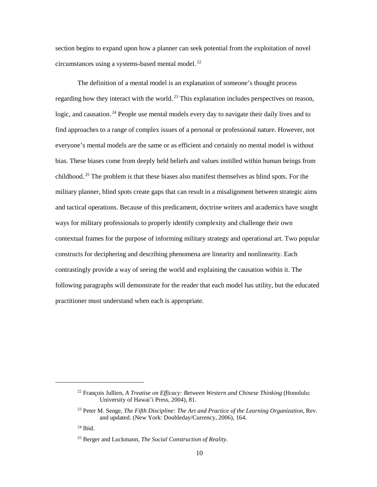section begins to expand upon how a planner can seek potential from the exploitation of novel circumstances using a systems-based mental model.<sup>22</sup>

The definition of a mental model is an explanation of someone's thought process regarding how they interact with the world.<sup>23</sup> This explanation includes perspectives on reason, logic, and causation.<sup>24</sup> People use mental models every day to navigate their daily lives and to find approaches to a range of complex issues of a personal or professional nature. However, not everyone's mental models are the same or as efficient and certainly no mental model is without bias. These biases come from deeply held beliefs and values instilled within human beings from childhood.<sup>25</sup> The problem is that these biases also manifest themselves as blind spots. For the military planner, blind spots create gaps that can result in a misalignment between strategic aims and tactical operations. Because of this predicament, doctrine writers and academics have sought ways for military professionals to properly identify complexity and challenge their own contextual frames for the purpose of informing military strategy and operational art. Two popular constructs for deciphering and describing phenomena are linearity and nonlinearity. Each contrastingly provide a way of seeing the world and explaining the causation within it. The following paragraphs will demonstrate for the reader that each model has utility, but the educated practitioner must understand when each is appropriate.

<sup>22</sup> François Jullien, *A Treatise on Efficacy: Between Western and Chinese Thinking* (Honolulu: University of Hawai'i Press, 2004), 81.

<sup>23</sup> Peter M. Senge, *The Fifth Discipline: The Art and Practice of the Learning Organization*, Rev. and updated. (New York: Doubleday/Currency, 2006), 164.

 $24$  Ibid.

<sup>25</sup> Berger and Luckmann, *The Social Construction of Reality*.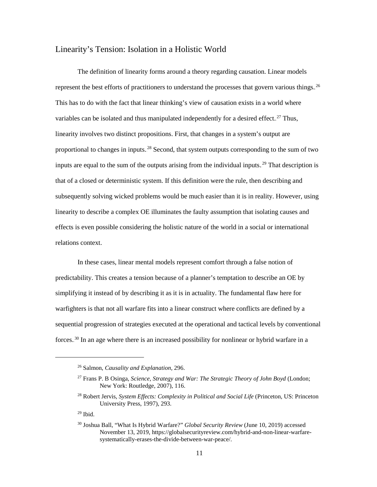#### Linearity's Tension: Isolation in a Holistic World

The definition of linearity forms around a theory regarding causation. Linear models represent the best efforts of practitioners to understand the processes that govern various things.<sup>26</sup> This has to do with the fact that linear thinking's view of causation exists in a world where variables can be isolated and thus manipulated independently for a desired effect.<sup>27</sup> Thus, linearity involves two distinct propositions. First, that changes in a system's output are proportional to changes in inputs.<sup>28</sup> Second, that system outputs corresponding to the sum of two inputs are equal to the sum of the outputs arising from the individual inputs.<sup>29</sup> That description is that of a closed or deterministic system. If this definition were the rule, then describing and subsequently solving wicked problems would be much easier than it is in reality. However, using linearity to describe a complex OE illuminates the faulty assumption that isolating causes and effects is even possible considering the holistic nature of the world in a social or international relations context.

In these cases, linear mental models represent comfort through a false notion of predictability. This creates a tension because of a planner's temptation to describe an OE by simplifying it instead of by describing it as it is in actuality. The fundamental flaw here for warfighters is that not all warfare fits into a linear construct where conflicts are defined by a sequential progression of strategies executed at the operational and tactical levels by conventional forces.<sup>30</sup> In an age where there is an increased possibility for nonlinear or hybrid warfare in a

<sup>26</sup> Salmon, *Causality and Explanation,* 296.

<sup>27</sup> Frans P. B Osinga, *Science, Strategy and War: The Strategic Theory of John Boyd* (London; New York: Routledge, 2007), 116.

<sup>28</sup> Robert Jervis, *System Effects: Complexity in Political and Social Life* (Princeton, US: Princeton University Press, 1997), 293.

 $29$  Ibid.

<sup>30</sup> Joshua Ball, "What Is Hybrid Warfare?" *Global Security Review* (June 10, 2019) accessed November 13, 2019, https://globalsecurityreview.com/hybrid-and-non-linear-warfaresystematically-erases-the-divide-between-war-peace/.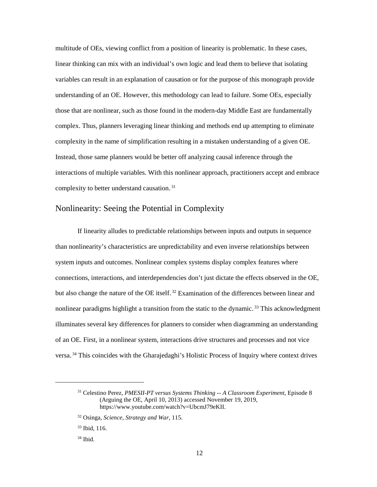multitude of OEs, viewing conflict from a position of linearity is problematic. In these cases, linear thinking can mix with an individual's own logic and lead them to believe that isolating variables can result in an explanation of causation or for the purpose of this monograph provide understanding of an OE. However, this methodology can lead to failure. Some OEs, especially those that are nonlinear, such as those found in the modern-day Middle East are fundamentally complex. Thus, planners leveraging linear thinking and methods end up attempting to eliminate complexity in the name of simplification resulting in a mistaken understanding of a given OE. Instead, those same planners would be better off analyzing causal inference through the interactions of multiple variables. With this nonlinear approach, practitioners accept and embrace complexity to better understand causation. $31$ 

#### Nonlinearity: Seeing the Potential in Complexity

If linearity alludes to predictable relationships between inputs and outputs in sequence than nonlinearity's characteristics are unpredictability and even inverse relationships between system inputs and outcomes. Nonlinear complex systems display complex features where connections, interactions, and interdependencies don't just dictate the effects observed in the OE, but also change the nature of the OE itself.<sup>32</sup> Examination of the differences between linear and nonlinear paradigms highlight a transition from the static to the dynamic.<sup>33</sup> This acknowledgment illuminates several key differences for planners to consider when diagramming an understanding of an OE. First, in a nonlinear system, interactions drive structures and processes and not vice versa.<sup>34</sup> This coincides with the Gharajedaghi's Holistic Process of Inquiry where context drives

<sup>31</sup> Celestino Perez, *PMESII-PT versus Systems Thinking -- A Classroom Experiment*, Episode 8 (Arguing the OE, April 10, 2013) accessed November 19, 2019, https://www.youtube.com/watch?v=UbcmJ79eKII.

<sup>32</sup> Osinga, *Science, Strategy and War,* 115.

<sup>33</sup> Ibid, 116.

 $34$  Ibid.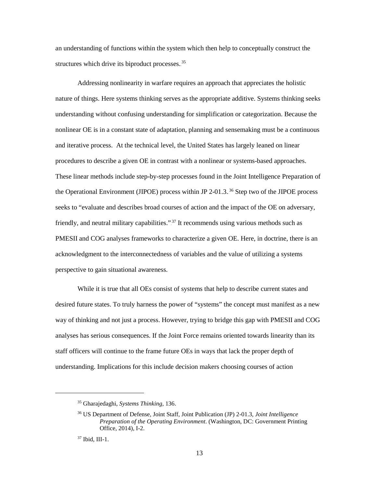an understanding of functions within the system which then help to conceptually construct the structures which drive its biproduct processes.<sup>35</sup>

Addressing nonlinearity in warfare requires an approach that appreciates the holistic nature of things. Here systems thinking serves as the appropriate additive. Systems thinking seeks understanding without confusing understanding for simplification or categorization. Because the nonlinear OE is in a constant state of adaptation, planning and sensemaking must be a continuous and iterative process. At the technical level, the United States has largely leaned on linear procedures to describe a given OE in contrast with a nonlinear or systems-based approaches. These linear methods include step-by-step processes found in the Joint Intelligence Preparation of the Operational Environment (JIPOE) process within JP 2-01.3. $^{36}$  Step two of the JIPOE process seeks to "evaluate and describes broad courses of action and the impact of the OE on adversary, friendly, and neutral military capabilities."<sup>37</sup> It recommends using various methods such as PMESII and COG analyses frameworks to characterize a given OE. Here, in doctrine, there is an acknowledgment to the interconnectedness of variables and the value of utilizing a systems perspective to gain situational awareness.

While it is true that all OEs consist of systems that help to describe current states and desired future states. To truly harness the power of "systems" the concept must manifest as a new way of thinking and not just a process. However, trying to bridge this gap with PMESII and COG analyses has serious consequences. If the Joint Force remains oriented towards linearity than its staff officers will continue to the frame future OEs in ways that lack the proper depth of understanding. Implications for this include decision makers choosing courses of action

<sup>35</sup> Gharajedaghi, *Systems Thinking,* 136.

<sup>36</sup> US Department of Defense, Joint Staff, Joint Publication (JP) 2-01.3*, Joint Intelligence Preparation of the Operating Environment*. (Washington, DC: Government Printing Office, 2014), I-2.

<sup>37</sup> Ibid, III-1.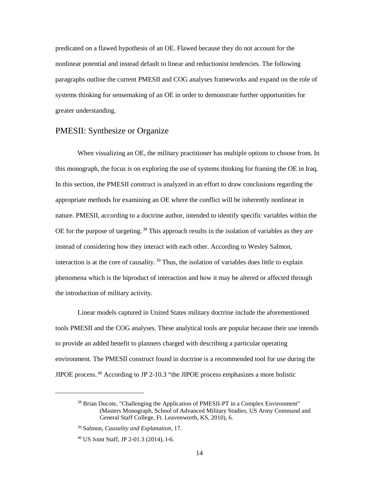predicated on a flawed hypothesis of an OE. Flawed because they do not account for the nonlinear potential and instead default to linear and reductionist tendencies. The following paragraphs outline the current PMESII and COG analyses frameworks and expand on the role of systems thinking for sensemaking of an OE in order to demonstrate further opportunities for greater understanding.

#### PMESII: Synthesize or Organize

When visualizing an OE, the military practitioner has multiple options to choose from. In this monograph, the focus is on exploring the use of systems thinking for framing the OE in Iraq. In this section, the PMESII construct is analyzed in an effort to draw conclusions regarding the appropriate methods for examining an OE where the conflict will be inherently nonlinear in nature. PMESII, according to a doctrine author, intended to identify specific variables within the OE for the purpose of targeting.<sup>38</sup> This approach results in the isolation of variables as they are instead of considering how they interact with each other. According to Wesley Salmon, interaction is at the core of causality.<sup>39</sup> Thus, the isolation of variables does little to explain phenomena which is the biproduct of interaction and how it may be altered or affected through the introduction of military activity.

Linear models captured in United States military doctrine include the aforementioned tools PMESII and the COG analyses. These analytical tools are popular because their use intends to provide an added benefit to planners charged with describing a particular operating environment. The PMESII construct found in doctrine is a recommended tool for use during the JIPOE process. $40$  According to JP 2-10.3 "the JIPOE process emphasizes a more holistic

<sup>&</sup>lt;sup>38</sup> Brian Ducote, "Challenging the Application of PMESII-PT in a Complex Environment" (Masters Monograph, School of Advanced Military Studies, US Army Command and General Staff College, Ft. Leavenworth, KS, 2010), 6.

<sup>39</sup> Salmon, *Causality and Explanation*, 17.

<sup>40</sup> US Joint Staff, JP 2-01.3 (2014), I-6.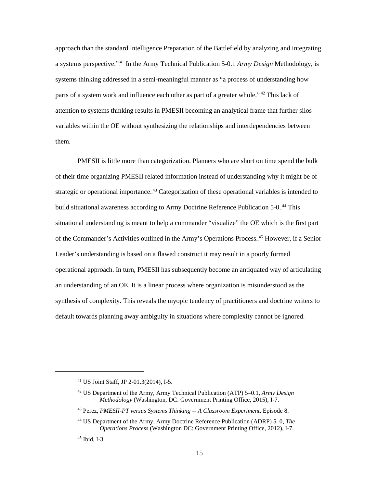approach than the standard Intelligence Preparation of the Battlefield by analyzing and integrating a systems perspective."<sup>41</sup> In the Army Technical Publication 5-0.1 *Army Design* Methodology, is systems thinking addressed in a semi-meaningful manner as "a process of understanding how parts of a system work and influence each other as part of a greater whole."<sup>42</sup> This lack of attention to systems thinking results in PMESII becoming an analytical frame that further silos variables within the OE without synthesizing the relationships and interdependencies between them.

PMESII is little more than categorization. Planners who are short on time spend the bulk of their time organizing PMESII related information instead of understanding why it might be of strategic or operational importance.<sup>43</sup> Categorization of these operational variables is intended to build situational awareness according to Army Doctrine Reference Publication 5-0.<sup>44</sup> This situational understanding is meant to help a commander "visualize" the OE which is the first part of the Commander's Activities outlined in the Army's Operations Process.<sup>45</sup> However, if a Senior Leader's understanding is based on a flawed construct it may result in a poorly formed operational approach. In turn, PMESII has subsequently become an antiquated way of articulating an understanding of an OE. It is a linear process where organization is misunderstood as the synthesis of complexity. This reveals the myopic tendency of practitioners and doctrine writers to default towards planning away ambiguity in situations where complexity cannot be ignored.

<sup>41</sup> US Joint Staff, JP 2-01.3(2014), I-5.

<sup>42</sup> US Department of the Army, Army Technical Publication (ATP) 5–0.1, *Army Design Methodology* (Washington, DC: Government Printing Office, 2015), I-7.

<sup>43</sup> Perez, *PMESII-PT versus Systems Thinking -- A Classroom Experiment*, Episode 8.

<sup>44</sup> US Department of the Army, Army Doctrine Reference Publication (ADRP) 5–0, *The Operations Process* (Washington DC: Government Printing Office, 2012), I-7.

<sup>45</sup> Ibid, I-3.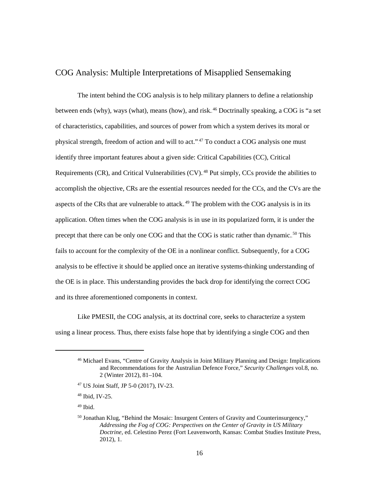## COG Analysis: Multiple Interpretations of Misapplied Sensemaking

The intent behind the COG analysis is to help military planners to define a relationship between ends (why), ways (what), means (how), and risk.<sup>46</sup> Doctrinally speaking, a COG is "a set of characteristics, capabilities, and sources of power from which a system derives its moral or physical strength, freedom of action and will to act."<sup>47</sup> To conduct a COG analysis one must identify three important features about a given side: Critical Capabilities (CC), Critical Requirements (CR), and Critical Vulnerabilities  $(CV)$ .<sup>48</sup> Put simply, CCs provide the abilities to accomplish the objective, CRs are the essential resources needed for the CCs, and the CVs are the aspects of the CRs that are vulnerable to attack.<sup>49</sup> The problem with the COG analysis is in its application. Often times when the COG analysis is in use in its popularized form, it is under the precept that there can be only one COG and that the COG is static rather than dynamic.<sup>50</sup> This fails to account for the complexity of the OE in a nonlinear conflict. Subsequently, for a COG analysis to be effective it should be applied once an iterative systems-thinking understanding of the OE is in place. This understanding provides the back drop for identifying the correct COG and its three aforementioned components in context.

 Like PMESII, the COG analysis, at its doctrinal core, seeks to characterize a system using a linear process. Thus, there exists false hope that by identifying a single COG and then

<sup>46</sup> Michael Evans, "Centre of Gravity Analysis in Joint Military Planning and Design: Implications and Recommendations for the Australian Defence Force," *Security Challenges* vol.8, no. 2 (Winter 2012), 81–104.

<sup>47</sup> US Joint Staff, JP 5-0 (2017)*,* IV-23.

<sup>48</sup> Ibid*,* IV-25.

<sup>49</sup> Ibid.

 $50$  Jonathan Klug, "Behind the Mosaic: Insurgent Centers of Gravity and Counterinsurgency," *Addressing the Fog of COG: Perspectives on the Center of Gravity in US Military Doctrine*, ed. Celestino Perez (Fort Leavenworth, Kansas: Combat Studies Institute Press, 2012), 1.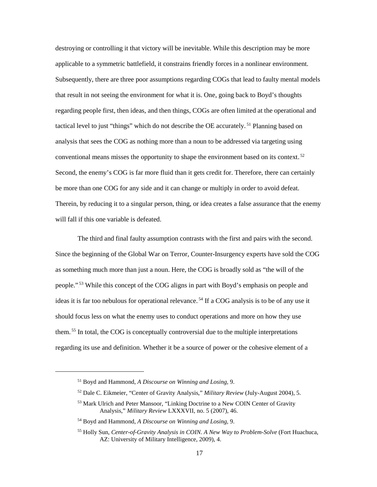destroying or controlling it that victory will be inevitable. While this description may be more applicable to a symmetric battlefield, it constrains friendly forces in a nonlinear environment. Subsequently, there are three poor assumptions regarding COGs that lead to faulty mental models that result in not seeing the environment for what it is. One, going back to Boyd's thoughts regarding people first, then ideas, and then things, COGs are often limited at the operational and tactical level to just "things" which do not describe the OE accurately.<sup>51</sup> Planning based on analysis that sees the COG as nothing more than a noun to be addressed via targeting using conventional means misses the opportunity to shape the environment based on its context.<sup>52</sup> Second, the enemy's COG is far more fluid than it gets credit for. Therefore, there can certainly be more than one COG for any side and it can change or multiply in order to avoid defeat. Therein, by reducing it to a singular person, thing, or idea creates a false assurance that the enemy will fall if this one variable is defeated.

The third and final faulty assumption contrasts with the first and pairs with the second. Since the beginning of the Global War on Terror, Counter-Insurgency experts have sold the COG as something much more than just a noun. Here, the COG is broadly sold as "the will of the people."<sup>53</sup> While this concept of the COG aligns in part with Boyd's emphasis on people and ideas it is far too nebulous for operational relevance.<sup>54</sup> If a COG analysis is to be of any use it should focus less on what the enemy uses to conduct operations and more on how they use them.<sup>55</sup> In total, the COG is conceptually controversial due to the multiple interpretations regarding its use and definition. Whether it be a source of power or the cohesive element of a

<sup>51</sup> Boyd and Hammond, *A Discourse on Winning and Losing,* 9.

<sup>52</sup> Dale C. Eikmeier, "Center of Gravity Analysis," *Military Review* (July-August 2004), 5.

<sup>53</sup> Mark Ulrich and Peter Mansoor, "Linking Doctrine to a New COIN Center of Gravity Analysis," *Military Review* LXXXVII, no. 5 (2007), 46.

<sup>54</sup> Boyd and Hammond, *A Discourse on Winning and Losing,* 9.

<sup>55</sup> Holly Sun, *Center-of-Gravity Analysis in COIN. A New Way to Problem-Solve* (Fort Huachuca, AZ: University of Military Intelligence, 2009), 4.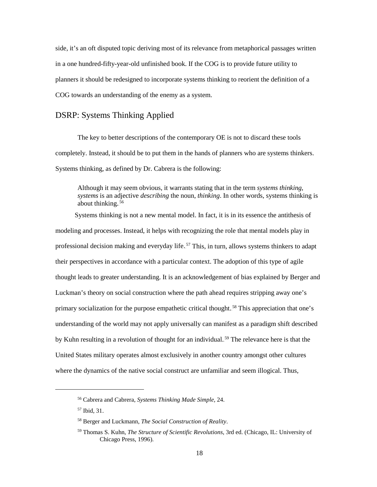side, it's an oft disputed topic deriving most of its relevance from metaphorical passages written in a one hundred-fifty-year-old unfinished book. If the COG is to provide future utility to planners it should be redesigned to incorporate systems thinking to reorient the definition of a COG towards an understanding of the enemy as a system.

### DSRP: Systems Thinking Applied

The key to better descriptions of the contemporary OE is not to discard these tools completely. Instead, it should be to put them in the hands of planners who are systems thinkers. Systems thinking, as defined by Dr. Cabrera is the following:

Although it may seem obvious, it warrants stating that in the term *systems thinking*, *systems* is an adjective *describing* the noun, *thinking*. In other words, systems thinking is about thinking.<sup>56</sup>

Systems thinking is not a new mental model. In fact, it is in its essence the antithesis of modeling and processes. Instead, it helps with recognizing the role that mental models play in professional decision making and everyday life.<sup>57</sup> This, in turn, allows systems thinkers to adapt their perspectives in accordance with a particular context. The adoption of this type of agile thought leads to greater understanding. It is an acknowledgement of bias explained by Berger and Luckman's theory on social construction where the path ahead requires stripping away one's primary socialization for the purpose empathetic critical thought.<sup>58</sup> This appreciation that one's understanding of the world may not apply universally can manifest as a paradigm shift described by Kuhn resulting in a revolution of thought for an individual.<sup>59</sup> The relevance here is that the United States military operates almost exclusively in another country amongst other cultures where the dynamics of the native social construct are unfamiliar and seem illogical. Thus,

<sup>56</sup> Cabrera and Cabrera, *Systems Thinking Made Simple,* 24.

<sup>57</sup> Ibid, 31.

<sup>58</sup> Berger and Luckmann, *The Social Construction of Reality*.

<sup>59</sup> Thomas S. Kuhn, *The Structure of Scientific Revolutions*, 3rd ed. (Chicago, IL: University of Chicago Press, 1996).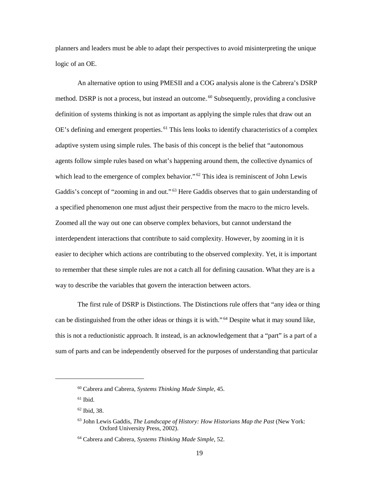planners and leaders must be able to adapt their perspectives to avoid misinterpreting the unique logic of an OE.

An alternative option to using PMESII and a COG analysis alone is the Cabrera's DSRP method. DSRP is not a process, but instead an outcome.<sup>60</sup> Subsequently, providing a conclusive definition of systems thinking is not as important as applying the simple rules that draw out an OE's defining and emergent properties.<sup>61</sup> This lens looks to identify characteristics of a complex adaptive system using simple rules. The basis of this concept is the belief that "autonomous agents follow simple rules based on what's happening around them, the collective dynamics of which lead to the emergence of complex behavior."<sup>62</sup> This idea is reminiscent of John Lewis Gaddis's concept of "zooming in and out.".<sup>63</sup> Here Gaddis observes that to gain understanding of a specified phenomenon one must adjust their perspective from the macro to the micro levels. Zoomed all the way out one can observe complex behaviors, but cannot understand the interdependent interactions that contribute to said complexity. However, by zooming in it is easier to decipher which actions are contributing to the observed complexity. Yet, it is important to remember that these simple rules are not a catch all for defining causation. What they are is a way to describe the variables that govern the interaction between actors.

The first rule of DSRP is Distinctions. The Distinctions rule offers that "any idea or thing can be distinguished from the other ideas or things it is with."<sup>64</sup> Despite what it may sound like, this is not a reductionistic approach. It instead, is an acknowledgement that a "part" is a part of a sum of parts and can be independently observed for the purposes of understanding that particular

<sup>60</sup> Cabrera and Cabrera, *Systems Thinking Made Simple,* 45.

 $61$  Ibid.

<sup>62</sup> Ibid, 38.

<sup>63</sup> John Lewis Gaddis, *The Landscape of History: How Historians Map the Past* (New York: Oxford University Press, 2002).

<sup>64</sup> Cabrera and Cabrera, *Systems Thinking Made Simple*, 52.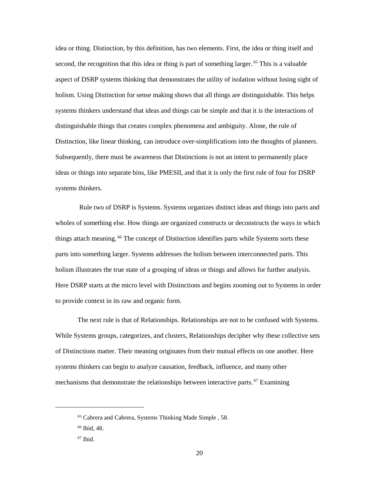idea or thing. Distinction, by this definition, has two elements. First, the idea or thing itself and second, the recognition that this idea or thing is part of something larger.<sup>65</sup> This is a valuable aspect of DSRP systems thinking that demonstrates the utility of isolation without losing sight of holism. Using Distinction for sense making shows that all things are distinguishable. This helps systems thinkers understand that ideas and things can be simple and that it is the interactions of distinguishable things that creates complex phenomena and ambiguity. Alone, the rule of Distinction, like linear thinking, can introduce over-simplifications into the thoughts of planners. Subsequently, there must be awareness that Distinctions is not an intent to permanently place ideas or things into separate bins, like PMESII, and that it is only the first rule of four for DSRP systems thinkers.

Rule two of DSRP is Systems. Systems organizes distinct ideas and things into parts and wholes of something else. How things are organized constructs or deconstructs the ways in which things attach meaning.<sup>66</sup> The concept of Distinction identifies parts while Systems sorts these parts into something larger. Systems addresses the holism between interconnected parts. This holism illustrates the true state of a grouping of ideas or things and allows for further analysis. Here DSRP starts at the micro level with Distinctions and begins zooming out to Systems in order to provide context in its raw and organic form.

The next rule is that of Relationships. Relationships are not to be confused with Systems. While Systems groups, categorizes, and clusters, Relationships decipher why these collective sets of Distinctions matter. Their meaning originates from their mutual effects on one another. Here systems thinkers can begin to analyze causation, feedback, influence, and many other mechanisms that demonstrate the relationships between interactive parts.<sup>67</sup> Examining

<sup>65</sup> Cabrera and Cabrera, Systems Thinking Made Simple , 58.

<sup>66</sup> Ibid, 48.

 $67$  Ibid.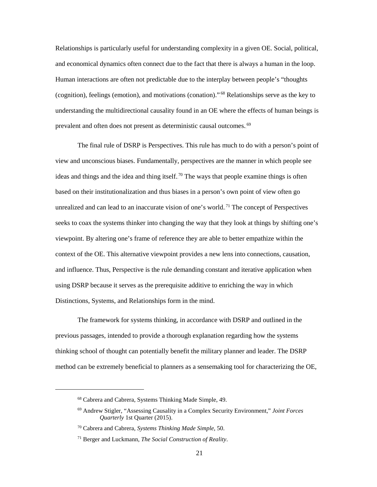Relationships is particularly useful for understanding complexity in a given OE. Social, political, and economical dynamics often connect due to the fact that there is always a human in the loop. Human interactions are often not predictable due to the interplay between people's "thoughts (cognition), feelings (emotion), and motivations (conation)."<sup>68</sup> Relationships serve as the key to understanding the multidirectional causality found in an OE where the effects of human beings is prevalent and often does not present as deterministic causal outcomes.<sup>69</sup>

The final rule of DSRP is Perspectives. This rule has much to do with a person's point of view and unconscious biases. Fundamentally, perspectives are the manner in which people see ideas and things and the idea and thing itself.<sup>70</sup> The ways that people examine things is often based on their institutionalization and thus biases in a person's own point of view often go unrealized and can lead to an inaccurate vision of one's world.<sup>71</sup> The concept of Perspectives seeks to coax the systems thinker into changing the way that they look at things by shifting one's viewpoint. By altering one's frame of reference they are able to better empathize within the context of the OE. This alternative viewpoint provides a new lens into connections, causation, and influence. Thus, Perspective is the rule demanding constant and iterative application when using DSRP because it serves as the prerequisite additive to enriching the way in which Distinctions, Systems, and Relationships form in the mind.

The framework for systems thinking, in accordance with DSRP and outlined in the previous passages, intended to provide a thorough explanation regarding how the systems thinking school of thought can potentially benefit the military planner and leader. The DSRP method can be extremely beneficial to planners as a sensemaking tool for characterizing the OE,

<sup>68</sup> Cabrera and Cabrera, Systems Thinking Made Simple, 49.

<sup>69</sup> Andrew Stigler, "Assessing Causality in a Complex Security Environment," *Joint Forces Quarterly* 1st Quarter (2015).

<sup>70</sup> Cabrera and Cabrera, *Systems Thinking Made Simple*, 50.

<sup>71</sup> Berger and Luckmann, *The Social Construction of Reality*.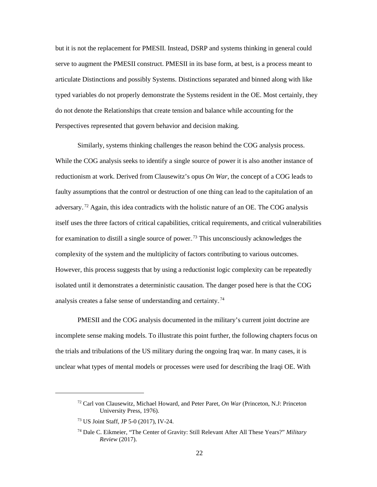but it is not the replacement for PMESII. Instead, DSRP and systems thinking in general could serve to augment the PMESII construct. PMESII in its base form, at best, is a process meant to articulate Distinctions and possibly Systems. Distinctions separated and binned along with like typed variables do not properly demonstrate the Systems resident in the OE. Most certainly, they do not denote the Relationships that create tension and balance while accounting for the Perspectives represented that govern behavior and decision making.

Similarly, systems thinking challenges the reason behind the COG analysis process. While the COG analysis seeks to identify a single source of power it is also another instance of reductionism at work. Derived from Clausewitz's opus *On War*, the concept of a COG leads to faulty assumptions that the control or destruction of one thing can lead to the capitulation of an adversary.<sup>72</sup> Again, this idea contradicts with the holistic nature of an OE. The COG analysis itself uses the three factors of critical capabilities, critical requirements, and critical vulnerabilities for examination to distill a single source of power.<sup>73</sup> This unconsciously acknowledges the complexity of the system and the multiplicity of factors contributing to various outcomes. However, this process suggests that by using a reductionist logic complexity can be repeatedly isolated until it demonstrates a deterministic causation. The danger posed here is that the COG analysis creates a false sense of understanding and certainty.<sup>74</sup>

PMESII and the COG analysis documented in the military's current joint doctrine are incomplete sense making models. To illustrate this point further, the following chapters focus on the trials and tribulations of the US military during the ongoing Iraq war. In many cases, it is unclear what types of mental models or processes were used for describing the Iraqi OE. With

<sup>72</sup> Carl von Clausewitz, Michael Howard, and Peter Paret, *On War* (Princeton, N.J: Princeton University Press, 1976).

<sup>73</sup> US Joint Staff, JP 5-0 (2017), IV-24.

<sup>74</sup> Dale C. Eikmeier, "The Center of Gravity: Still Relevant After All These Years?" *Military Review* (2017).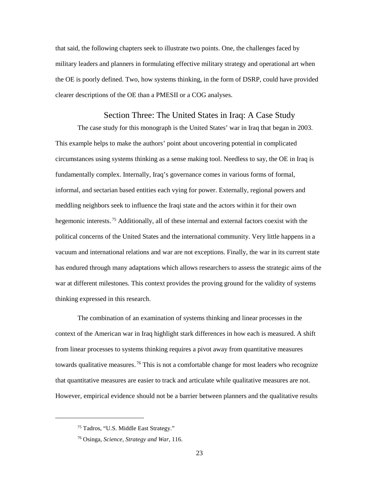that said, the following chapters seek to illustrate two points. One, the challenges faced by military leaders and planners in formulating effective military strategy and operational art when the OE is poorly defined. Two, how systems thinking, in the form of DSRP, could have provided clearer descriptions of the OE than a PMESII or a COG analyses.

#### Section Three: The United States in Iraq: A Case Study

The case study for this monograph is the United States' war in Iraq that began in 2003. This example helps to make the authors' point about uncovering potential in complicated circumstances using systems thinking as a sense making tool. Needless to say, the OE in Iraq is fundamentally complex. Internally, Iraq's governance comes in various forms of formal, informal, and sectarian based entities each vying for power. Externally, regional powers and meddling neighbors seek to influence the Iraqi state and the actors within it for their own hegemonic interests.<sup>75</sup> Additionally, all of these internal and external factors coexist with the political concerns of the United States and the international community. Very little happens in a vacuum and international relations and war are not exceptions. Finally, the war in its current state has endured through many adaptations which allows researchers to assess the strategic aims of the war at different milestones. This context provides the proving ground for the validity of systems thinking expressed in this research.

The combination of an examination of systems thinking and linear processes in the context of the American war in Iraq highlight stark differences in how each is measured. A shift from linear processes to systems thinking requires a pivot away from quantitative measures towards qualitative measures.<sup>76</sup> This is not a comfortable change for most leaders who recognize that quantitative measures are easier to track and articulate while qualitative measures are not. However, empirical evidence should not be a barrier between planners and the qualitative results

<sup>75</sup> Tadros, "U.S. Middle East Strategy."

<sup>76</sup> Osinga, *Science, Strategy and War*, 116.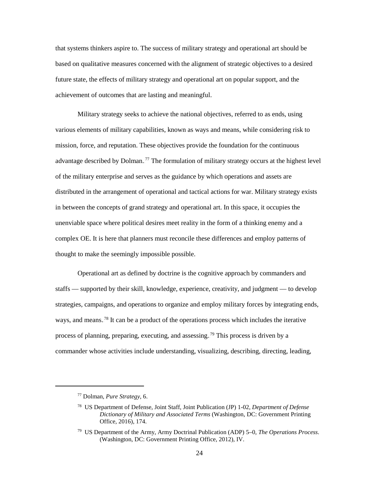that systems thinkers aspire to. The success of military strategy and operational art should be based on qualitative measures concerned with the alignment of strategic objectives to a desired future state, the effects of military strategy and operational art on popular support, and the achievement of outcomes that are lasting and meaningful.

Military strategy seeks to achieve the national objectives, referred to as ends, using various elements of military capabilities, known as ways and means, while considering risk to mission, force, and reputation. These objectives provide the foundation for the continuous advantage described by Dolman.<sup>77</sup> The formulation of military strategy occurs at the highest level of the military enterprise and serves as the guidance by which operations and assets are distributed in the arrangement of operational and tactical actions for war. Military strategy exists in between the concepts of grand strategy and operational art. In this space, it occupies the unenviable space where political desires meet reality in the form of a thinking enemy and a complex OE. It is here that planners must reconcile these differences and employ patterns of thought to make the seemingly impossible possible.

Operational art as defined by doctrine is the cognitive approach by commanders and staffs — supported by their skill, knowledge, experience, creativity, and judgment — to develop strategies, campaigns, and operations to organize and employ military forces by integrating ends, ways, and means.<sup>78</sup> It can be a product of the operations process which includes the iterative process of planning, preparing, executing, and assessing.<sup>79</sup> This process is driven by a commander whose activities include understanding, visualizing, describing, directing, leading,

<sup>77</sup> Dolman, *Pure Strategy,* 6.

<sup>78</sup> US Department of Defense, Joint Staff, Joint Publication (JP) 1-02, *Department of Defense Dictionary of Military and Associated Terms* (Washington, DC: Government Printing Office, 2016), 174.

<sup>79</sup> US Department of the Army, Army Doctrinal Publication (ADP) 5–0, *The Operations Process*. (Washington, DC: Government Printing Office, 2012), IV.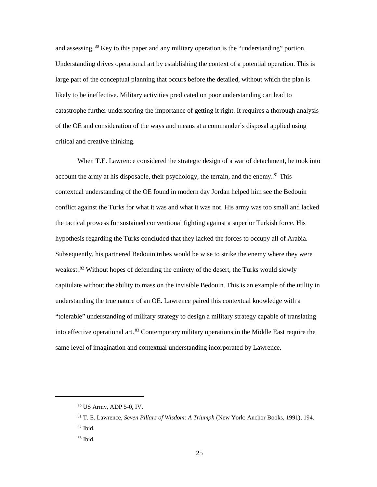and assessing.<sup>80</sup> Key to this paper and any military operation is the "understanding" portion. Understanding drives operational art by establishing the context of a potential operation. This is large part of the conceptual planning that occurs before the detailed, without which the plan is likely to be ineffective. Military activities predicated on poor understanding can lead to catastrophe further underscoring the importance of getting it right. It requires a thorough analysis of the OE and consideration of the ways and means at a commander's disposal applied using critical and creative thinking.

When T.E. Lawrence considered the strategic design of a war of detachment, he took into account the army at his disposable, their psychology, the terrain, and the enemy.<sup>81</sup> This contextual understanding of the OE found in modern day Jordan helped him see the Bedouin conflict against the Turks for what it was and what it was not. His army was too small and lacked the tactical prowess for sustained conventional fighting against a superior Turkish force. His hypothesis regarding the Turks concluded that they lacked the forces to occupy all of Arabia. Subsequently, his partnered Bedouin tribes would be wise to strike the enemy where they were weakest.<sup>82</sup> Without hopes of defending the entirety of the desert, the Turks would slowly capitulate without the ability to mass on the invisible Bedouin. This is an example of the utility in understanding the true nature of an OE. Lawrence paired this contextual knowledge with a "tolerable" understanding of military strategy to design a military strategy capable of translating into effective operational art.<sup>83</sup> Contemporary military operations in the Middle East require the same level of imagination and contextual understanding incorporated by Lawrence.

<sup>80</sup> US Army, ADP 5-0, IV.

<sup>81</sup> T. E. Lawrence, *Seven Pillars of Wisdom: A Triumph* (New York: Anchor Books, 1991), 194. <sup>82</sup> Ibid.

 $83$  Ibid.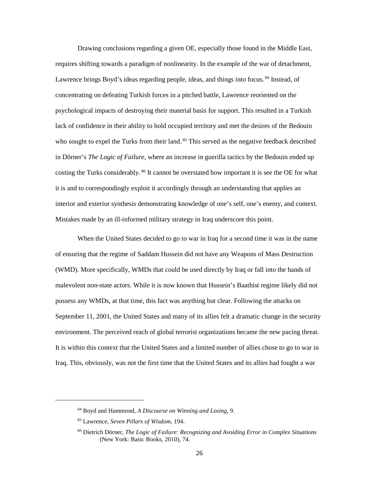Drawing conclusions regarding a given OE, especially those found in the Middle East, requires shifting towards a paradigm of nonlinearity. In the example of the war of detachment, Lawrence brings Boyd's ideas regarding people, ideas, and things into focus.<sup>84</sup> Instead, of concentrating on defeating Turkish forces in a pitched battle, Lawrence reoriented on the psychological impacts of destroying their material basis for support. This resulted in a Turkish lack of confidence in their ability to hold occupied territory and met the desires of the Bedouin who sought to expel the Turks from their land.<sup>85</sup> This served as the negative feedback described in Dörner's *The Logic of Failure,* where an increase in guerilla tactics by the Bedouin ended up costing the Turks considerably.<sup>86</sup> It cannot be overstated how important it is see the OE for what it is and to correspondingly exploit it accordingly through an understanding that applies an interior and exterior synthesis demonstrating knowledge of one's self, one's enemy, and context. Mistakes made by an ill-informed military strategy in Iraq underscore this point.

 When the United States decided to go to war in Iraq for a second time it was in the name of ensuring that the regime of Saddam Hussein did not have any Weapons of Mass Destruction (WMD). More specifically, WMDs that could be used directly by Iraq or fall into the hands of malevolent non-state actors. While it is now known that Hussein's Baathist regime likely did not possess any WMDs, at that time, this fact was anything but clear. Following the attacks on September 11, 2001, the United States and many of its allies felt a dramatic change in the security environment. The perceived reach of global terrorist organizations became the new pacing threat. It is within this context that the United States and a limited number of allies chose to go to war in Iraq. This, obviously, was not the first time that the United States and its allies had fought a war

<sup>84</sup> Boyd and Hammond, *A Discourse on Winning and Losing*, 9.

<sup>85</sup> Lawrence, *Seven Pillars of Wisdom,* 194.

<sup>86</sup> Dietrich Dörner, *The Logic of Failure: Recognizing and Avoiding Error in Complex Situations* (New York: Basic Books, 2010), 74.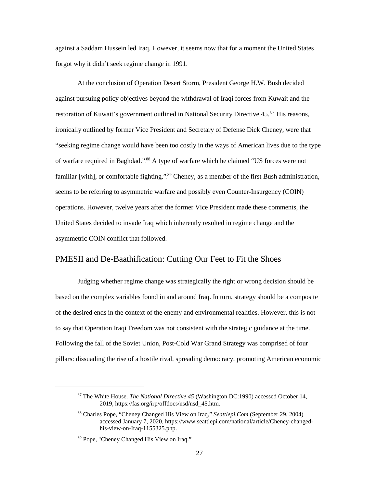against a Saddam Hussein led Iraq. However, it seems now that for a moment the United States forgot why it didn't seek regime change in 1991.

At the conclusion of Operation Desert Storm, President George H.W. Bush decided against pursuing policy objectives beyond the withdrawal of Iraqi forces from Kuwait and the restoration of Kuwait's government outlined in National Security Directive 45.<sup>87</sup> His reasons, ironically outlined by former Vice President and Secretary of Defense Dick Cheney, were that "seeking regime change would have been too costly in the ways of American lives due to the type of warfare required in Baghdad."<sup>88</sup> A type of warfare which he claimed "US forces were not familiar [with], or comfortable fighting.".<sup>89</sup> Cheney, as a member of the first Bush administration, seems to be referring to asymmetric warfare and possibly even Counter-Insurgency (COIN) operations. However, twelve years after the former Vice President made these comments, the United States decided to invade Iraq which inherently resulted in regime change and the asymmetric COIN conflict that followed.

#### PMESII and De-Baathification: Cutting Our Feet to Fit the Shoes

Judging whether regime change was strategically the right or wrong decision should be based on the complex variables found in and around Iraq. In turn, strategy should be a composite of the desired ends in the context of the enemy and environmental realities. However, this is not to say that Operation Iraqi Freedom was not consistent with the strategic guidance at the time. Following the fall of the Soviet Union, Post-Cold War Grand Strategy was comprised of four pillars: dissuading the rise of a hostile rival, spreading democracy, promoting American economic

<sup>87</sup> The White House. *The National Directive 45* (Washington DC:1990) accessed October 14, 2019, https://fas.org/irp/offdocs/nsd/nsd\_45.htm.

<sup>88</sup> Charles Pope, "Cheney Changed His View on Iraq," *Seattlepi.Com* (September 29, 2004) accessed January 7, 2020, https://www.seattlepi.com/national/article/Cheney-changedhis-view-on-Iraq-1155325.php.

<sup>89</sup> Pope, "Cheney Changed His View on Iraq."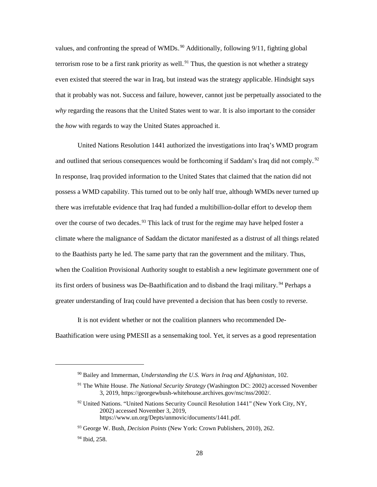values, and confronting the spread of WMDs.<sup>90</sup> Additionally, following 9/11, fighting global terrorism rose to be a first rank priority as well.<sup>91</sup> Thus, the question is not whether a strategy even existed that steered the war in Iraq, but instead was the strategy applicable. Hindsight says that it probably was not. Success and failure, however, cannot just be perpetually associated to the *why* regarding the reasons that the United States went to war. It is also important to the consider the *how* with regards to way the United States approached it.

United Nations Resolution 1441 authorized the investigations into Iraq's WMD program and outlined that serious consequences would be forthcoming if Saddam's Iraq did not comply.<sup>92</sup> In response, Iraq provided information to the United States that claimed that the nation did not possess a WMD capability. This turned out to be only half true, although WMDs never turned up there was irrefutable evidence that Iraq had funded a multibillion-dollar effort to develop them over the course of two decades.<sup>93</sup> This lack of trust for the regime may have helped foster a climate where the malignance of Saddam the dictator manifested as a distrust of all things related to the Baathists party he led. The same party that ran the government and the military. Thus, when the Coalition Provisional Authority sought to establish a new legitimate government one of its first orders of business was De-Baathification and to disband the Iraqi military.<sup>94</sup> Perhaps a greater understanding of Iraq could have prevented a decision that has been costly to reverse.

It is not evident whether or not the coalition planners who recommended De-Baathification were using PMESII as a sensemaking tool. Yet, it serves as a good representation

<sup>90</sup> Bailey and Immerman, *Understanding the U.S. Wars in Iraq and Afghanistan*, 102.

<sup>91</sup> The White House. *The National Security Strategy* (Washington DC: 2002) accessed November 3, 2019, https://georgewbush-whitehouse.archives.gov/nsc/nss/2002/.

<sup>&</sup>lt;sup>92</sup> United Nations. "United Nations Security Council Resolution 1441" (New York City, NY, 2002) accessed November 3, 2019, https://www.un.org/Depts/unmovic/documents/1441.pdf.

<sup>93</sup> George W. Bush, *Decision Points* (New York: Crown Publishers, 2010), 262.

<sup>94</sup> Ibid, 258.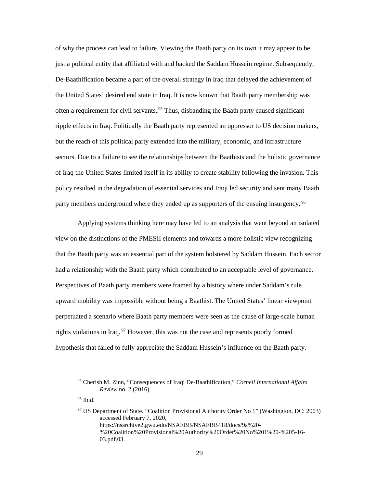of why the process can lead to failure. Viewing the Baath party on its own it may appear to be just a political entity that affiliated with and backed the Saddam Hussein regime. Subsequently, De-Baathification became a part of the overall strategy in Iraq that delayed the achievement of the United States' desired end state in Iraq. It is now known that Baath party membership was often a requirement for civil servants.<sup>95</sup> Thus, disbanding the Baath party caused significant ripple effects in Iraq. Politically the Baath party represented an oppressor to US decision makers, but the reach of this political party extended into the military, economic, and infrastructure sectors. Due to a failure to see the relationships between the Baathists and the holistic governance of Iraq the United States limited itself in its ability to create stability following the invasion. This policy resulted in the degradation of essential services and Iraqi led security and sent many Baath party members underground where they ended up as supporters of the ensuing insurgency.<sup>96</sup>

Applying systems thinking here may have led to an analysis that went beyond an isolated view on the distinctions of the PMESII elements and towards a more holistic view recognizing that the Baath party was an essential part of the system bolstered by Saddam Hussein. Each sector had a relationship with the Baath party which contributed to an acceptable level of governance. Perspectives of Baath party members were framed by a history where under Saddam's rule upward mobility was impossible without being a Baathist. The United States' linear viewpoint perpetuated a scenario where Baath party members were seen as the cause of large-scale human rights violations in Iraq.<sup>97</sup> However, this was not the case and represents poorly formed hypothesis that failed to fully appreciate the Saddam Hussein's influence on the Baath party.

<sup>96</sup> Ibid.

<sup>95</sup> Cherish M. Zinn, "Consequences of Iraqi De-Baathification," *Cornell International Affairs Review* no. 2 (2016).

<sup>97</sup> US Department of State. "Coalition Provisional Authority Order No 1" (Washington, DC: 2003) accessed February 7, 2020, https://nsarchive2.gwu.edu/NSAEBB/NSAEBB418/docs/9a%20- %20Coalition%20Provisional%20Authority%20Order%20No%201%20-%205-16- 03.pdf.03.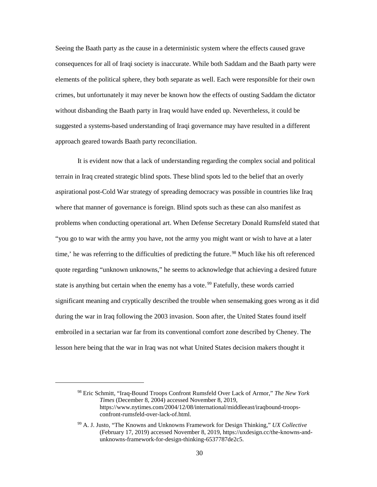Seeing the Baath party as the cause in a deterministic system where the effects caused grave consequences for all of Iraqi society is inaccurate. While both Saddam and the Baath party were elements of the political sphere, they both separate as well. Each were responsible for their own crimes, but unfortunately it may never be known how the effects of ousting Saddam the dictator without disbanding the Baath party in Iraq would have ended up. Nevertheless, it could be suggested a systems-based understanding of Iraqi governance may have resulted in a different approach geared towards Baath party reconciliation.

It is evident now that a lack of understanding regarding the complex social and political terrain in Iraq created strategic blind spots. These blind spots led to the belief that an overly aspirational post-Cold War strategy of spreading democracy was possible in countries like Iraq where that manner of governance is foreign. Blind spots such as these can also manifest as problems when conducting operational art. When Defense Secretary Donald Rumsfeld stated that "you go to war with the army you have, not the army you might want or wish to have at a later time,' he was referring to the difficulties of predicting the future.<sup>98</sup> Much like his oft referenced quote regarding "unknown unknowns," he seems to acknowledge that achieving a desired future state is anything but certain when the enemy has a vote.<sup>99</sup> Fatefully, these words carried significant meaning and cryptically described the trouble when sensemaking goes wrong as it did during the war in Iraq following the 2003 invasion. Soon after, the United States found itself embroiled in a sectarian war far from its conventional comfort zone described by Cheney. The lesson here being that the war in Iraq was not what United States decision makers thought it

<sup>98</sup> Eric Schmitt, "Iraq-Bound Troops Confront Rumsfeld Over Lack of Armor," *The New York Times* (December 8, 2004) accessed November 8, 2019, https://www.nytimes.com/2004/12/08/international/middleeast/iraqbound-troopsconfront-rumsfeld-over-lack-of.html.

<sup>99</sup> A. J. Justo, "The Knowns and Unknowns Framework for Design Thinking," *UX Collective* (February 17, 2019) accessed November 8, 2019, https://uxdesign.cc/the-knowns-andunknowns-framework-for-design-thinking-6537787de2c5.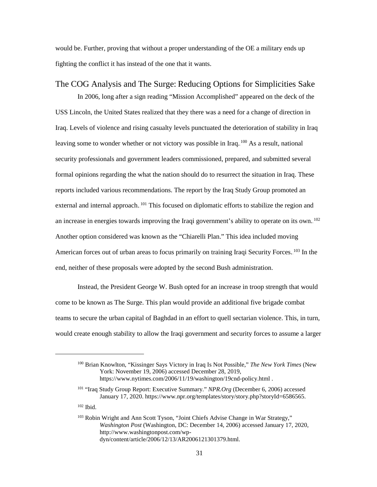would be. Further, proving that without a proper understanding of the OE a military ends up fighting the conflict it has instead of the one that it wants.

#### The COG Analysis and The Surge: Reducing Options for Simplicities Sake

In 2006, long after a sign reading "Mission Accomplished" appeared on the deck of the USS Lincoln, the United States realized that they there was a need for a change of direction in Iraq. Levels of violence and rising casualty levels punctuated the deterioration of stability in Iraq leaving some to wonder whether or not victory was possible in Iraq.<sup>100</sup> As a result, national security professionals and government leaders commissioned, prepared, and submitted several formal opinions regarding the what the nation should do to resurrect the situation in Iraq. These reports included various recommendations. The report by the Iraq Study Group promoted an external and internal approach.<sup>101</sup> This focused on diplomatic efforts to stabilize the region and an increase in energies towards improving the Iraqi government's ability to operate on its own.<sup>102</sup> Another option considered was known as the "Chiarelli Plan." This idea included moving American forces out of urban areas to focus primarily on training Iraqi Security Forces.<sup>103</sup> In the end, neither of these proposals were adopted by the second Bush administration.

Instead, the President George W. Bush opted for an increase in troop strength that would come to be known as The Surge. This plan would provide an additional five brigade combat teams to secure the urban capital of Baghdad in an effort to quell sectarian violence. This, in turn, would create enough stability to allow the Iraqi government and security forces to assume a larger

<sup>100</sup> Brian Knowlton, "Kissinger Says Victory in Iraq Is Not Possible," *The New York Times* (New York: November 19, 2006) accessed December 28, 2019, https://www.nytimes.com/2006/11/19/washington/19cnd-policy.html .

<sup>101 &</sup>quot;Iraq Study Group Report: Executive Summary." *NPR.Org* (December 6, 2006) accessed January 17, 2020. https://www.npr.org/templates/story/story.php?storyId=6586565.

<sup>102</sup> Ibid.

<sup>103</sup> Robin Wright and Ann Scott Tyson, "Joint Chiefs Advise Change in War Strategy," *Washington Post* (Washington, DC: December 14, 2006) accessed January 17, 2020, http://www.washingtonpost.com/wpdyn/content/article/2006/12/13/AR2006121301379.html.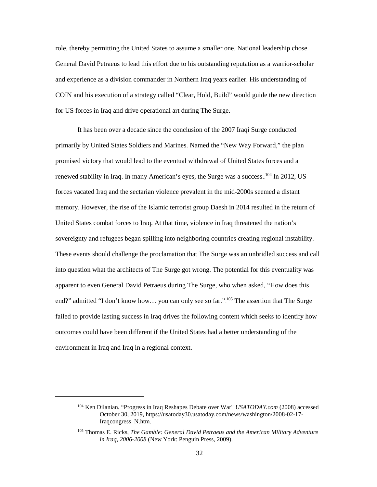role, thereby permitting the United States to assume a smaller one. National leadership chose General David Petraeus to lead this effort due to his outstanding reputation as a warrior-scholar and experience as a division commander in Northern Iraq years earlier. His understanding of COIN and his execution of a strategy called "Clear, Hold, Build" would guide the new direction for US forces in Iraq and drive operational art during The Surge.

It has been over a decade since the conclusion of the 2007 Iraqi Surge conducted primarily by United States Soldiers and Marines. Named the "New Way Forward," the plan promised victory that would lead to the eventual withdrawal of United States forces and a renewed stability in Iraq. In many American's eyes, the Surge was a success. <sup>104</sup> In 2012, US forces vacated Iraq and the sectarian violence prevalent in the mid-2000s seemed a distant memory. However, the rise of the Islamic terrorist group Daesh in 2014 resulted in the return of United States combat forces to Iraq. At that time, violence in Iraq threatened the nation's sovereignty and refugees began spilling into neighboring countries creating regional instability. These events should challenge the proclamation that The Surge was an unbridled success and call into question what the architects of The Surge got wrong. The potential for this eventuality was apparent to even General David Petraeus during The Surge, who when asked, "How does this end?" admitted "I don't know how... you can only see so far." <sup>105</sup> The assertion that The Surge failed to provide lasting success in Iraq drives the following content which seeks to identify how outcomes could have been different if the United States had a better understanding of the environment in Iraq and Iraq in a regional context.

<sup>104</sup> Ken Dilanian. "Progress in Iraq Reshapes Debate over War" *USATODAY.com* (2008) accessed October 30, 2019, https://usatoday30.usatoday.com/news/washington/2008-02-17- Iraqcongress\_N.htm.

<sup>105</sup> Thomas E. Ricks, *The Gamble: General David Petraeus and the American Military Adventure in Iraq, 2006-2008* (New York: Penguin Press, 2009).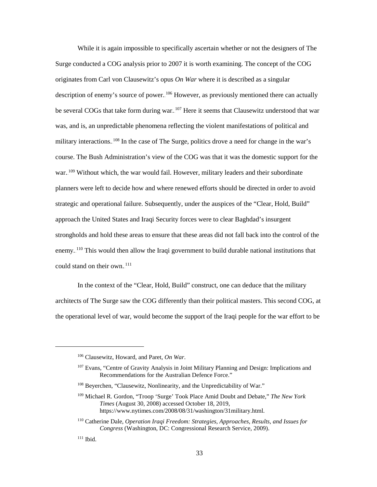While it is again impossible to specifically ascertain whether or not the designers of The Surge conducted a COG analysis prior to 2007 it is worth examining. The concept of the COG originates from Carl von Clausewitz's opus *On War* where it is described as a singular description of enemy's source of power. <sup>106</sup> However, as previously mentioned there can actually be several COGs that take form during war. <sup>107</sup> Here it seems that Clausewitz understood that war was, and is, an unpredictable phenomena reflecting the violent manifestations of political and military interactions. <sup>108</sup> In the case of The Surge, politics drove a need for change in the war's course. The Bush Administration's view of the COG was that it was the domestic support for the war.<sup>109</sup> Without which, the war would fail. However, military leaders and their subordinate planners were left to decide how and where renewed efforts should be directed in order to avoid strategic and operational failure. Subsequently, under the auspices of the "Clear, Hold, Build" approach the United States and Iraqi Security forces were to clear Baghdad's insurgent strongholds and hold these areas to ensure that these areas did not fall back into the control of the enemy.<sup>110</sup> This would then allow the Iraqi government to build durable national institutions that could stand on their own.<sup>111</sup>

In the context of the "Clear, Hold, Build" construct, one can deduce that the military architects of The Surge saw the COG differently than their political masters. This second COG, at the operational level of war, would become the support of the Iraqi people for the war effort to be

<sup>106</sup> Clausewitz, Howard, and Paret, *On War*.

<sup>&</sup>lt;sup>107</sup> Evans, "Centre of Gravity Analysis in Joint Military Planning and Design: Implications and Recommendations for the Australian Defence Force."

<sup>&</sup>lt;sup>108</sup> Beyerchen, "Clausewitz, Nonlinearity, and the Unpredictability of War."

<sup>109</sup> Michael R. Gordon, "Troop 'Surge' Took Place Amid Doubt and Debate," *The New York Times* (August 30, 2008) accessed October 18, 2019, https://www.nytimes.com/2008/08/31/washington/31military.html.

<sup>110</sup> Catherine Dale, *Operation Iraqi Freedom: Strategies, Approaches, Results, and Issues for Congress* (Washington, DC: Congressional Research Service, 2009).

 $111$  Ibid.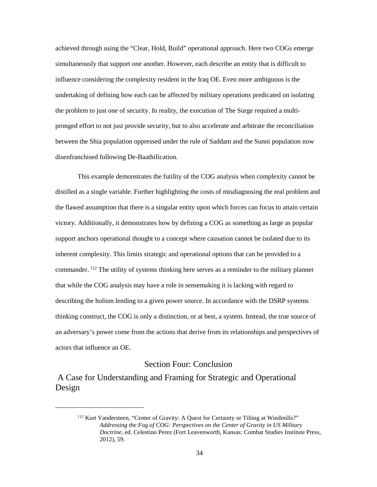achieved through using the "Clear, Hold, Build" operational approach. Here two COGs emerge simultaneously that support one another. However, each describe an entity that is difficult to influence considering the complexity resident in the Iraq OE. Even more ambiguous is the undertaking of defining how each can be affected by military operations predicated on isolating the problem to just one of security. In reality, the execution of The Surge required a multipronged effort to not just provide security, but to also accelerate and arbitrate the reconciliation between the Shia population oppressed under the rule of Saddam and the Sunni population now disenfranchised following De-Baathification.

This example demonstrates the futility of the COG analysis when complexity cannot be distilled as a single variable. Further highlighting the costs of misdiagnosing the real problem and the flawed assumption that there is a singular entity upon which forces can focus to attain certain victory. Additionally, it demonstrates how by defining a COG as something as large as popular support anchors operational thought to a concept where causation cannot be isolated due to its inherent complexity. This limits strategic and operational options that can be provided to a commander. <sup>112</sup> The utility of systems thinking here serves as a reminder to the military planner that while the COG analysis may have a role in sensemaking it is lacking with regard to describing the holism lending to a given power source. In accordance with the DSRP systems thinking construct, the COG is only a distinction, or at best, a system. Instead, the true source of an adversary's power come from the actions that derive from its relationships and perspectives of actors that influence an OE.

#### Section Four: Conclusion

A Case for Understanding and Framing for Strategic and Operational Design

<sup>&</sup>lt;sup>112</sup> Kurt Vandersteen, "Center of Gravity: A Quest for Certainty or Tilting at Windmills?" *Addressing the Fog of COG: Perspectives on the Center of Gravity in US Military Doctrine*, ed. Celestino Perez (Fort Leavenworth, Kansas: Combat Studies Institute Press, 2012), 59.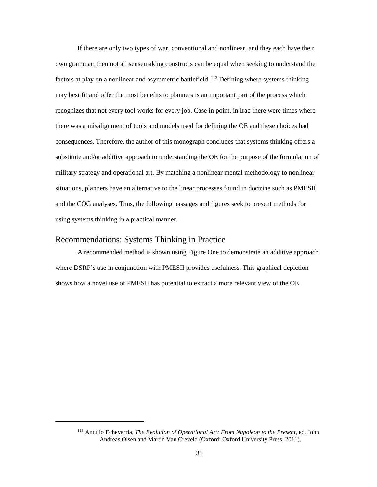If there are only two types of war, conventional and nonlinear, and they each have their own grammar, then not all sensemaking constructs can be equal when seeking to understand the factors at play on a nonlinear and asymmetric battlefield.<sup>113</sup> Defining where systems thinking may best fit and offer the most benefits to planners is an important part of the process which recognizes that not every tool works for every job. Case in point, in Iraq there were times where there was a misalignment of tools and models used for defining the OE and these choices had consequences. Therefore, the author of this monograph concludes that systems thinking offers a substitute and/or additive approach to understanding the OE for the purpose of the formulation of military strategy and operational art. By matching a nonlinear mental methodology to nonlinear situations, planners have an alternative to the linear processes found in doctrine such as PMESII and the COG analyses. Thus, the following passages and figures seek to present methods for using systems thinking in a practical manner.

#### Recommendations: Systems Thinking in Practice

 $\overline{a}$ 

A recommended method is shown using Figure One to demonstrate an additive approach where DSRP's use in conjunction with PMESII provides usefulness. This graphical depiction shows how a novel use of PMESII has potential to extract a more relevant view of the OE.

<sup>113</sup> Antulio Echevarria, *The Evolution of Operational Art: From Napoleon to the Present*, ed. John Andreas Olsen and Martin Van Creveld (Oxford: Oxford University Press, 2011).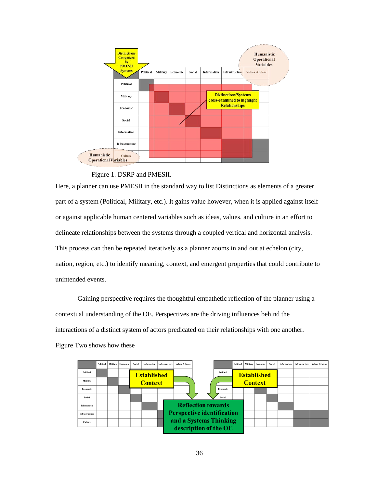

Figure 1. DSRP and PMESII.

Here, a planner can use PMESII in the standard way to list Distinctions as elements of a greater part of a system (Political, Military, etc.). It gains value however, when it is applied against itself or against applicable human centered variables such as ideas, values, and culture in an effort to delineate relationships between the systems through a coupled vertical and horizontal analysis. This process can then be repeated iteratively as a planner zooms in and out at echelon (city, nation, region, etc.) to identify meaning, context, and emergent properties that could contribute to unintended events.

Gaining perspective requires the thoughtful empathetic reflection of the planner using a contextual understanding of the OE. Perspectives are the driving influences behind the interactions of a distinct system of actors predicated on their relationships with one another. Figure Two shows how these

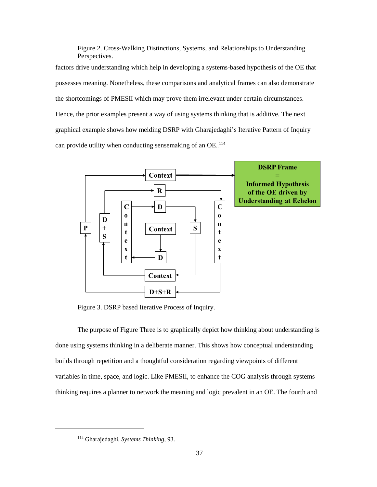Figure 2. Cross-Walking Distinctions, Systems, and Relationships to Understanding Perspectives. factors drive understanding which help in developing a systems-based hypothesis of the OE that possesses meaning. Nonetheless, these comparisons and analytical frames can also demonstrate the shortcomings of PMESII which may prove them irrelevant under certain circumstances. Hence, the prior examples present a way of using systems thinking that is additive. The next graphical example shows how melding DSRP with Gharajedaghi's Iterative Pattern of Inquiry can provide utility when conducting sensemaking of an OE.<sup>114</sup>



Figure 3. DSRP based Iterative Process of Inquiry.

The purpose of Figure Three is to graphically depict how thinking about understanding is done using systems thinking in a deliberate manner. This shows how conceptual understanding builds through repetition and a thoughtful consideration regarding viewpoints of different variables in time, space, and logic. Like PMESII, to enhance the COG analysis through systems thinking requires a planner to network the meaning and logic prevalent in an OE. The fourth and

<sup>114</sup> Gharajedaghi, *Systems Thinking*, 93.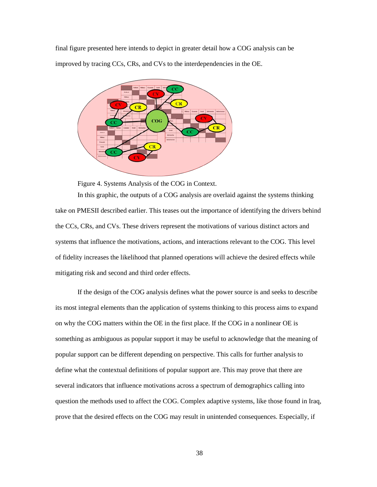final figure presented here intends to depict in greater detail how a COG analysis can be improved by tracing CCs, CRs, and CVs to the interdependencies in the OE.



Figure 4. Systems Analysis of the COG in Context.

In this graphic, the outputs of a COG analysis are overlaid against the systems thinking take on PMESII described earlier. This teases out the importance of identifying the drivers behind the CCs, CRs, and CVs. These drivers represent the motivations of various distinct actors and systems that influence the motivations, actions, and interactions relevant to the COG. This level of fidelity increases the likelihood that planned operations will achieve the desired effects while mitigating risk and second and third order effects.

If the design of the COG analysis defines what the power source is and seeks to describe its most integral elements than the application of systems thinking to this process aims to expand on why the COG matters within the OE in the first place. If the COG in a nonlinear OE is something as ambiguous as popular support it may be useful to acknowledge that the meaning of popular support can be different depending on perspective. This calls for further analysis to define what the contextual definitions of popular support are. This may prove that there are several indicators that influence motivations across a spectrum of demographics calling into question the methods used to affect the COG. Complex adaptive systems, like those found in Iraq, prove that the desired effects on the COG may result in unintended consequences. Especially, if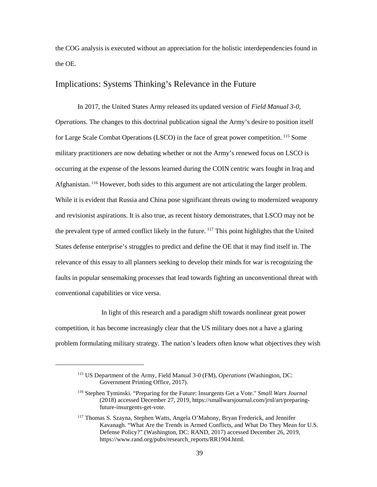the COG analysis is executed without an appreciation for the holistic interdependencies found in the OE.

#### Implications: Systems Thinking's Relevance in the Future

 In 2017, the United States Army released its updated version of *Field Manual 3-0, Operations*. The changes to this doctrinal publication signal the Army's desire to position itself for Large Scale Combat Operations (LSCO) in the face of great power competition.<sup>115</sup> Some military practitioners are now debating whether or not the Army's renewed focus on LSCO is occurring at the expense of the lessons learned during the COIN centric wars fought in Iraq and Afghanistan.<sup>116</sup> However, both sides to this argument are not articulating the larger problem. While it is evident that Russia and China pose significant threats owing to modernized weaponry and revisionist aspirations. It is also true, as recent history demonstrates, that LSCO may not be the prevalent type of armed conflict likely in the future. <sup>117</sup> This point highlights that the United States defense enterprise's struggles to predict and define the OE that it may find itself in. The relevance of this essay to all planners seeking to develop their minds for war is recognizing the faults in popular sensemaking processes that lead towards fighting an unconventional threat with conventional capabilities or vice versa.

 In light of this research and a paradigm shift towards nonlinear great power competition, it has become increasingly clear that the US military does not a have a glaring problem formulating military strategy. The nation's leaders often know what objectives they wish

<sup>115</sup> US Department of the Army, Field Manual 3-0 (FM)*, Operations* (Washington, DC: Government Printing Office, 2017).

<sup>116</sup> Stephen Tyminski. "Preparing for the Future: Insurgents Get a Vote." *Small Wars Journal* (2018) accessed December 27, 2019, https://smallwarsjournal.com/jrnl/art/preparingfuture-insurgents-get-vote.

<sup>117</sup> Thomas S. Szayna, Stephen Watts, Angela O'Mahony, Bryan Frederick, and Jennifer Kavanagh. "What Are the Trends in Armed Conflicts, and What Do They Mean for U.S. Defense Policy?" (Washington, DC: RAND, 2017) accessed December 26, 2019, https://www.rand.org/pubs/research\_reports/RR1904.html.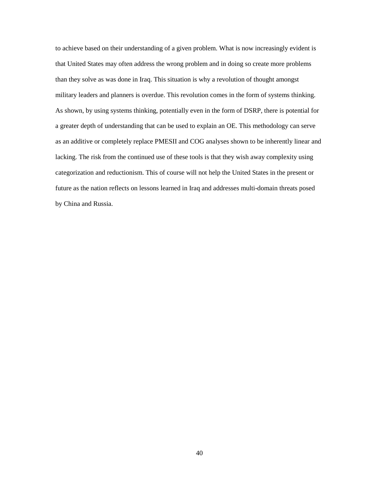to achieve based on their understanding of a given problem. What is now increasingly evident is that United States may often address the wrong problem and in doing so create more problems than they solve as was done in Iraq. This situation is why a revolution of thought amongst military leaders and planners is overdue. This revolution comes in the form of systems thinking. As shown, by using systems thinking, potentially even in the form of DSRP, there is potential for a greater depth of understanding that can be used to explain an OE. This methodology can serve as an additive or completely replace PMESII and COG analyses shown to be inherently linear and lacking. The risk from the continued use of these tools is that they wish away complexity using categorization and reductionism. This of course will not help the United States in the present or future as the nation reflects on lessons learned in Iraq and addresses multi-domain threats posed by China and Russia.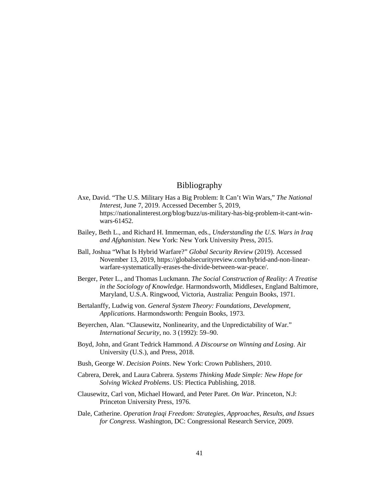### Bibliography

- Axe, David. "The U.S. Military Has a Big Problem: It Can't Win Wars," *The National Interest*, June 7, 2019. Accessed December 5, 2019, https://nationalinterest.org/blog/buzz/us-military-has-big-problem-it-cant-winwars-61452.
- Bailey, Beth L., and Richard H. Immerman, eds., *Understanding the U.S. Wars in Iraq and Afghanistan*. New York: New York University Press, 2015.
- Ball, Joshua "What Is Hybrid Warfare?" *Global Security Review* (2019). Accessed November 13, 2019, https://globalsecurityreview.com/hybrid-and-non-linearwarfare-systematically-erases-the-divide-between-war-peace/.
- Berger, Peter L., and Thomas Luckmann. *The Social Construction of Reality: A Treatise in the Sociology of Knowledge.* Harmondsworth, Middlesex, England Baltimore, Maryland, U.S.A. Ringwood, Victoria, Australia: Penguin Books, 1971.
- Bertalanffy, Ludwig von. *General System Theory: Foundations, Development, Applications*. Harmondsworth: Penguin Books, 1973.
- Beyerchen, Alan. "Clausewitz, Nonlinearity, and the Unpredictability of War." *International Security*, no. 3 (1992): 59–90.
- Boyd, John, and Grant Tedrick Hammond. *A Discourse on Winning and Losing*. Air University (U.S.), and Press, 2018.
- Bush, George W. *Decision Points*. New York: Crown Publishers, 2010.
- Cabrera, Derek, and Laura Cabrera. *Systems Thinking Made Simple: New Hope for Solving Wicked Problems*. US: Plectica Publishing, 2018.
- Clausewitz, Carl von, Michael Howard, and Peter Paret. *On War*. Princeton, N.J: Princeton University Press, 1976.
- Dale, Catherine. *Operation Iraqi Freedom: Strategies, Approaches, Results, and Issues for Congress*. Washington, DC: Congressional Research Service, 2009.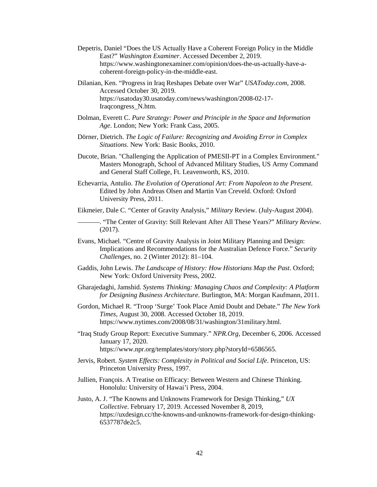- Depetris, Daniel "Does the US Actually Have a Coherent Foreign Policy in the Middle East?" *Washington Examiner*. Accessed December 2, 2019. https://www.washingtonexaminer.com/opinion/does-the-us-actually-have-acoherent-foreign-policy-in-the-middle-east.
- Dilanian, Ken. "Progress in Iraq Reshapes Debate over War" *USAToday.com*, 2008. Accessed October 30, 2019. https://usatoday30.usatoday.com/news/washington/2008-02-17- Iraqcongress\_N.htm.
- Dolman, Everett C. *Pure Strategy: Power and Principle in the Space and Information Age*. London; New York: Frank Cass, 2005.
- Dörner, Dietrich. *The Logic of Failure: Recognizing and Avoiding Error in Complex Situations*. New York: Basic Books, 2010.
- Ducote, Brian. "Challenging the Application of PMESII-PT in a Complex Environment." Masters Monograph, School of Advanced Military Studies, US Army Command and General Staff College, Ft. Leavenworth, KS, 2010.
- Echevarria, Antulio. *The Evolution of Operational Art: From Napoleon to the Present*. Edited by John Andreas Olsen and Martin Van Creveld. Oxford: Oxford University Press, 2011.
- Eikmeier, Dale C. "Center of Gravity Analysis," *Military* Review. (July-August 2004).
	- . "The Center of Gravity: Still Relevant After All These Years?" *Military Review*. (2017).
- Evans, Michael. "Centre of Gravity Analysis in Joint Military Planning and Design: Implications and Recommendations for the Australian Defence Force." *Security Challenges*, no. 2 (Winter 2012): 81–104.
- Gaddis, John Lewis. *The Landscape of History: How Historians Map the Past*. Oxford; New York: Oxford University Press, 2002.
- Gharajedaghi, Jamshid. *Systems Thinking: Managing Chaos and Complexity: A Platform for Designing Business Architecture*. Burlington, MA: Morgan Kaufmann, 2011.
- Gordon, Michael R. "Troop 'Surge' Took Place Amid Doubt and Debate." *The New York Times*, August 30, 2008. Accessed October 18, 2019. https://www.nytimes.com/2008/08/31/washington/31military.html.
- "Iraq Study Group Report: Executive Summary." *NPR.Org*, December 6, 2006. Accessed January 17, 2020. https://www.npr.org/templates/story/story.php?storyId=6586565.
- Jervis, Robert. *System Effects: Complexity in Political and Social Life*. Princeton, US: Princeton University Press, 1997.
- Jullien, François. A Treatise on Efficacy: Between Western and Chinese Thinking. Honolulu: University of Hawai'i Press, 2004.
- Justo, A. J. "The Knowns and Unknowns Framework for Design Thinking," *UX Collective*. February 17, 2019. Accessed November 8, 2019, https://uxdesign.cc/the-knowns-and-unknowns-framework-for-design-thinking-6537787de2c5.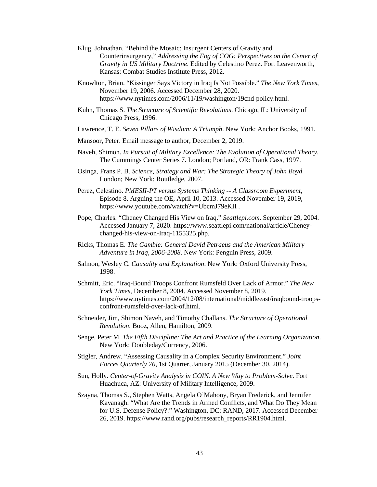- Klug, Johnathan. "Behind the Mosaic: Insurgent Centers of Gravity and Counterinsurgency," *Addressing the Fog of COG: Perspectives on the Center of Gravity in US Military Doctrine*. Edited by Celestino Perez. Fort Leavenworth, Kansas: Combat Studies Institute Press, 2012.
- Knowlton, Brian. "Kissinger Says Victory in Iraq Is Not Possible." *The New York Times*, November 19, 2006. Accessed December 28, 2020. https://www.nytimes.com/2006/11/19/washington/19cnd-policy.html.
- Kuhn, Thomas S. *The Structure of Scientific Revolutions*. Chicago, IL: University of Chicago Press, 1996.
- Lawrence, T. E. *Seven Pillars of Wisdom: A Triumph*. New York: Anchor Books, 1991.
- Mansoor, Peter. Email message to author, December 2, 2019.
- Naveh, Shimon. *In Pursuit of Military Excellence: The Evolution of Operational Theory*. The Cummings Center Series 7. London; Portland, OR: Frank Cass, 1997.
- Osinga, Frans P. B. *Science, Strategy and War: The Strategic Theory of John Boyd*. London; New York: Routledge, 2007.
- Perez, Celestino. *PMESII-PT versus Systems Thinking -- A Classroom Experiment*, Episode 8. Arguing the OE, April 10, 2013. Accessed November 19, 2019, https://www.youtube.com/watch?v=UbcmJ79eKII .
- Pope, Charles. "Cheney Changed His View on Iraq." *Seattlepi.com*. September 29, 2004. Accessed January 7, 2020. https://www.seattlepi.com/national/article/Cheneychanged-his-view-on-Iraq-1155325.php.
- Ricks, Thomas E. *The Gamble: General David Petraeus and the American Military Adventure in Iraq, 2006-2008*. New York: Penguin Press, 2009.
- Salmon, Wesley C. *Causality and Explanation*. New York: Oxford University Press, 1998.
- Schmitt, Eric. "Iraq-Bound Troops Confront Rumsfeld Over Lack of Armor." *The New York Times*, December 8, 2004. Accessed November 8, 2019. https://www.nytimes.com/2004/12/08/international/middleeast/iraqbound-troopsconfront-rumsfeld-over-lack-of.html.
- Schneider, Jim, Shimon Naveh, and Timothy Challans. *The Structure of Operational Revolution*. Booz, Allen, Hamilton, 2009.
- Senge, Peter M. *The Fifth Discipline: The Art and Practice of the Learning Organization*. New York: Doubleday/Currency, 2006.
- Stigler, Andrew. "Assessing Causality in a Complex Security Environment." *Joint Forces Quarterly 76*, 1st Quarter, January 2015 (December 30, 2014).
- Sun, Holly. *Center-of-Gravity Analysis in COIN. A New Way to Problem-Solve*. Fort Huachuca, AZ: University of Military Intelligence, 2009.
- Szayna, Thomas S., Stephen Watts, Angela O'Mahony, Bryan Frederick, and Jennifer Kavanagh. "What Are the Trends in Armed Conflicts, and What Do They Mean for U.S. Defense Policy?:" Washington, DC: RAND, 2017. Accessed December 26, 2019. https://www.rand.org/pubs/research\_reports/RR1904.html.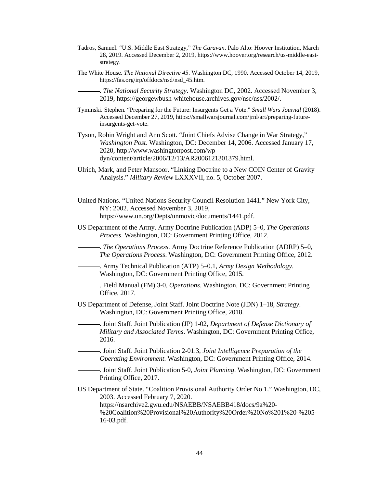- Tadros, Samuel. "U.S. Middle East Strategy," *The Caravan*. Palo Alto: Hoover Institution, March 28, 2019. Accessed December 2, 2019, https://www.hoover.org/research/us-middle-eaststrategy.
- The White House. *The National Directive 45*. Washington DC, 1990. Accessed October 14, 2019, https://fas.org/irp/offdocs/nsd/nsd\_45.htm.
	- . *The National Security Strategy*. Washington DC, 2002. Accessed November 3, 2019, https://georgewbush-whitehouse.archives.gov/nsc/nss/2002/.
- Tyminski. Stephen. "Preparing for the Future: Insurgents Get a Vote." *Small Wars Journal* (2018). Accessed December 27, 2019, https://smallwarsjournal.com/jrnl/art/preparing-futureinsurgents-get-vote.
- Tyson, Robin Wright and Ann Scott. "Joint Chiefs Advise Change in War Strategy," *Washington Post*. Washington, DC: December 14, 2006. Accessed January 17, 2020, http://www.washingtonpost.com/wp dyn/content/article/2006/12/13/AR2006121301379.html.
- Ulrich, Mark, and Peter Mansoor. "Linking Doctrine to a New COIN Center of Gravity Analysis." *Military Review* LXXXVII, no. 5, October 2007.
- United Nations. "United Nations Security Council Resolution 1441." New York City, NY: 2002. Accessed November 3, 2019, https://www.un.org/Depts/unmovic/documents/1441.pdf.
- US Department of the Army. Army Doctrine Publication (ADP) 5–0, *The Operations Process*. Washington, DC: Government Printing Office, 2012.
- . *The Operations Process.* Army Doctrine Reference Publication (ADRP) 5–0, *The Operations Process*. Washington, DC: Government Printing Office, 2012.
- . Army Technical Publication (ATP) 5–0.1*, Army Design Methodology*. Washington, DC: Government Printing Office, 2015.
- . Field Manual (FM) 3-0, *Operations*. Washington, DC: Government Printing Office, 2017.
- US Department of Defense, Joint Staff. Joint Doctrine Note (JDN) 1–18, *Strategy*. Washington, DC: Government Printing Office, 2018.
	- . Joint Staff. Joint Publication (JP) 1-02, *Department of Defense Dictionary of Military and Associated Terms*. Washington, DC: Government Printing Office, 2016.
	- . Joint Staff. Joint Publication 2-01.3, *Joint Intelligence Preparation of the Operating Environment*. Washington, DC: Government Printing Office, 2014.
		- . Joint Staff. Joint Publication 5-0, *Joint Planning*. Washington, DC: Government Printing Office, 2017.
- US Department of State. "Coalition Provisional Authority Order No 1." Washington, DC, 2003. Accessed February 7, 2020. https://nsarchive2.gwu.edu/NSAEBB/NSAEBB418/docs/9a%20- %20Coalition%20Provisional%20Authority%20Order%20No%201%20-%205- 16-03.pdf.